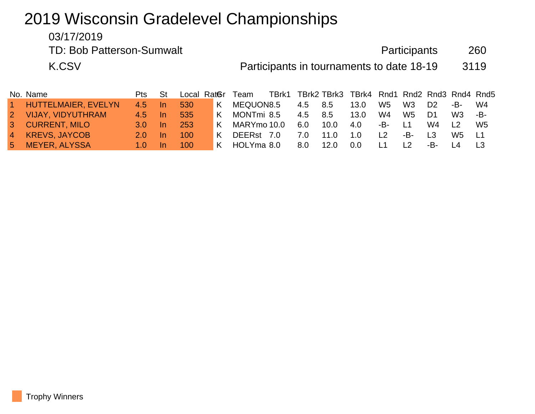# 2019 Wisconsin Gradelevel Championships

## 03/17/2019 TD: Bob Patterson-Sumwalt **Participants** 260 K.CSV **Rand Constructs** Participants in tournaments to date 18-19 3119 No. Name **Pts** St Local RateGr Team TBrk1 TBrk2 TBrk3 TBrk4 Rnd1 Rnd2 Rnd3 Rnd4 Rnd5

| $\sim$ 1    | <b>HUTTELMAIER, EVELYN</b> | 4.5 | - In | 530 |   | MEQUON8.5            | 4.5 | 8.5  | 13.0 | W <sub>5</sub> | W <sub>3</sub>  | D <sub>2</sub> | -B- | W4  |
|-------------|----------------------------|-----|------|-----|---|----------------------|-----|------|------|----------------|-----------------|----------------|-----|-----|
| $2^{\circ}$ | VIJAY, VIDYUTHRAM          | 4.5 | In.  | 535 | K | MONTmi 8.5           | 4.5 | 8.5  | 13.0 | W4             | W <sub>5</sub>  | D1             | W3  | -B- |
|             | 3 CURRENT, MILO            | 3 O |      | 253 | K | MARYmo 10.0          | 6.0 | 10.0 | 4.0  | -B-            | $\overline{11}$ | W4             |     | W5  |
|             | 4 KREVS, JAYCOB            | 2 O |      | 100 | Κ | <b>DFFRst</b><br>7.0 | 7 O | 11.0 | 1 O  |                | -B-             | L3             | W5. |     |
|             | 5 MEYER, ALYSSA            |     |      |     |   | HOLYma 8.0           | 8.0 | 12.0 | 0.0  |                |                 | -R-            |     |     |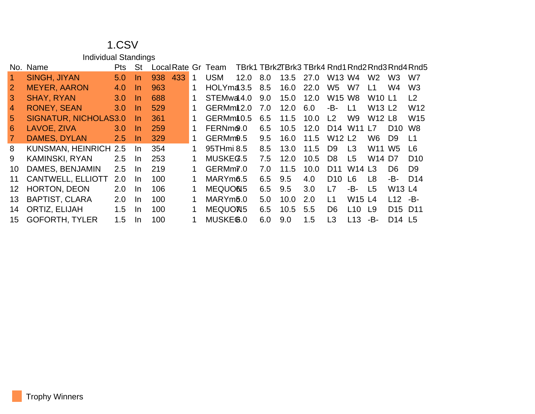| Individual Standings |  |  |
|----------------------|--|--|
|                      |  |  |

|    | No. Name                 | <b>Pts</b>    | St        |     |     |   | Local Rate Gr Team    |            |     | TBrk1 TBrk2TBrk3 TBrk4 Rnd1 Rnd2 Rnd3 Rnd4 Rnd5 |      |                 |                                |                                |                                |                 |
|----|--------------------------|---------------|-----------|-----|-----|---|-----------------------|------------|-----|-------------------------------------------------|------|-----------------|--------------------------------|--------------------------------|--------------------------------|-----------------|
|    | <b>SINGH, JIYAN</b>      | 5.0           | <u>In</u> | 938 | 433 | 1 | <b>USM</b>            | 12.0       | 8.0 | 13.5                                            | 27.0 | W13 W4          |                                | W <sub>2</sub>                 | W <sub>3</sub>                 | W7              |
| 2  | <b>MEYER, AARON</b>      | 4.0           | In.       | 963 |     | 1 |                       | HOLYma3.5  | 8.5 | 16.0                                            | 22.0 | W <sub>5</sub>  | W7                             | $\overline{1}$ 1               | W4                             | W <sub>3</sub>  |
| 3  | <b>SHAY, RYAN</b>        | 3.0           | <u>In</u> | 688 |     |   |                       | STEMwa44.0 | 9.0 | 15.0                                            | 12.0 | <b>W15 W8</b>   |                                | W <sub>10</sub> L <sub>1</sub> |                                | L2              |
| 4  | <b>RONEY, SEAN</b>       | 3.0           | In.       | 529 |     | 1 | GERMm12.0             |            | 7.0 | 12.0                                            | 6.0  | -B-             | L <sub>1</sub>                 | W <sub>13</sub> L <sub>2</sub> |                                | W <sub>12</sub> |
| 5. | SIGNATUR, NICHOLAS3.0    |               | In.       | 361 |     | 1 | GERMm10.5             |            | 6.5 | 11.5                                            | 10.0 | L <sub>2</sub>  | W9                             | <b>W12 L8</b>                  |                                | W <sub>15</sub> |
| 6  | LAVOE, ZIVA              | 3.0           | In.       | 259 |     | 1 | FERNm <sup>(9.0</sup> |            | 6.5 | 10.5                                            | 12.0 | D14             | W <sub>11</sub> L <sub>7</sub> |                                | D10                            | W <sub>8</sub>  |
| 7  | DAMES, DYLAN             | 2.5           | In.       | 329 |     | 1 | GERM <sub>m</sub> 9.5 |            | 9.5 | 16.0                                            | 11.5 | <b>W12 L2</b>   |                                | W6.                            | D9                             | L <sub>1</sub>  |
| 8  | KUNSMAN, HEINRICH 2.5    |               | In.       | 354 |     |   | 95THmi 8.5            |            | 8.5 | 13.0                                            | 11.5 | D <sub>9</sub>  | L <sub>3</sub>                 | W11                            | W5                             | L6              |
| 9  | <b>KAMINSKI, RYAN</b>    | 2.5           | In.       | 253 |     | 1 | MUSKE <sub>G.5</sub>  |            | 7.5 | 12.0                                            | 10.5 | D <sub>8</sub>  | L <sub>5</sub>                 | W14 D7                         |                                | D <sub>10</sub> |
| 10 | DAMES, BENJAMIN          | 2.5           | -In       | 219 |     |   | GERM <sub>m</sub> 7.0 |            | 7.0 | 11.5                                            | 10.0 | D <sub>11</sub> | W <sub>14</sub> L <sub>3</sub> |                                | D6.                            | D <sub>9</sub>  |
| 11 | <b>CANTWELL, ELLIOTT</b> | 2.0           | In.       | 100 |     |   | MARYm <sub>6.5</sub>  |            | 6.5 | 9.5                                             | 4.0  | D <sub>10</sub> | L6                             | 1 8                            | -B-                            | D <sub>14</sub> |
| 12 | HORTON, DEON             | 2.0           | In.       | 106 |     | 1 | MEQUON <sub>5</sub>   |            | 6.5 | 9.5                                             | 3.0  | L7              | -В-                            | L <sub>5</sub>                 | W <sub>13</sub> L <sub>4</sub> |                 |
| 13 | <b>BAPTIST, CLARA</b>    | 2.0           | <b>In</b> | 100 |     |   | MARY <sub>m</sub> 5.0 |            | 5.0 | 10.0                                            | 2.0  | L1              | W <sub>15</sub> L <sub>4</sub> |                                | $L12 - B$                      |                 |
| 14 | ORTIZ, ELIJAH            | $1.5^{\circ}$ | -In       | 100 |     |   | MEQUON <sub>5</sub>   |            | 6.5 | 10.5                                            | 5.5  | D <sub>6</sub>  | L10                            | L9                             | D15 D11                        |                 |
| 15 | <b>GOFORTH, TYLER</b>    | 1.5           | -In       | 100 |     |   | MUSKE <sup>6.0</sup>  |            | 6.0 | 9.0                                             | 1.5  | L3              | L13                            | -B-                            | D <sub>14</sub> L <sub>5</sub> |                 |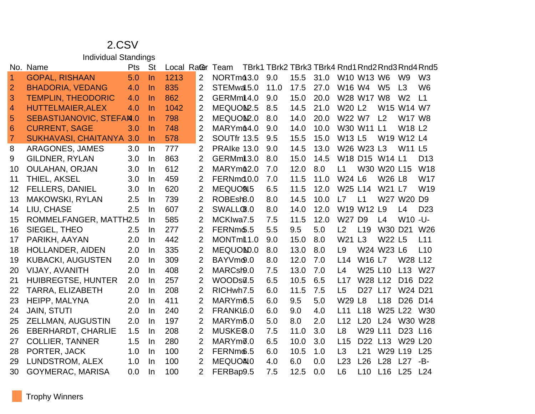Individual Standings

|                      | No. Name                        | Pts | <b>St</b> | Local RaGer |                | Team                   | TBrk1 TBrk2 TBrk3 TBrk4 Rnd1 Rnd2 Rnd3 Rnd4 Rnd5 |      |      |                |                                 |                |                     |                 |
|----------------------|---------------------------------|-----|-----------|-------------|----------------|------------------------|--------------------------------------------------|------|------|----------------|---------------------------------|----------------|---------------------|-----------------|
| $\blacktriangleleft$ | <b>GOPAL, RISHAAN</b>           | 5.0 | <b>In</b> | 1213        | 2              | NORTmd3.0              | 9.0                                              | 15.5 | 31.0 |                | W10 W13 W6                      |                | W <sub>9</sub>      | W <sub>3</sub>  |
| $\overline{2}$       | <b>BHADORIA, VEDANG</b>         | 4.0 | -In       | 835         | $\overline{2}$ | STEMwa <sub>15.0</sub> | 11.0                                             | 17.5 | 27.0 | W16 W4         |                                 | W <sub>5</sub> | L3                  | W <sub>6</sub>  |
| 3                    | <b>TEMPLIN, THEODORIC</b>       | 4.0 | <b>In</b> | 862         | 2              | GERMmi14.0             | 9.0                                              | 15.0 | 20.0 |                | W28 W17 W8                      |                | W <sub>2</sub>      | L1              |
| $\overline{4}$       | <b>HUTTELMAIER, ALEX</b>        | 4.0 | $\ln$     | 1042        | $\overline{2}$ | MEQUON <sub>2.5</sub>  | 8.5                                              | 14.5 | 21.0 | <b>W20 L2</b>  |                                 |                | W15 W14 W7          |                 |
| 5                    | <b>SEBASTIJANOVIC, STEFAM.0</b> |     | In.       | 798         | $\overline{2}$ | MEQUON <sub>2.0</sub>  | 8.0                                              | 14.0 | 20.0 | W22 W7         |                                 | L2             | <b>W17 W8</b>       |                 |
| $6\phantom{1}6$      | <b>CURRENT, SAGE</b>            | 3.0 | $\ln$     | 748         | $\overline{2}$ | MARYm <sub>04.0</sub>  | 9.0                                              | 14.0 | 10.0 |                | W30 W11 L1                      |                | <b>W18 L2</b>       |                 |
| $\overline{7}$       | <b>SUKHAVASI, CHAITANYA 3.0</b> |     | <b>In</b> | 578         | $\overline{2}$ | SOUTfr 13.5            | 9.5                                              | 15.5 | 15.0 | <b>W13 L5</b>  |                                 |                | W19 W12 L4          |                 |
| 8                    | ARAGONES, JAMES                 | 3.0 | In.       | 777         | $\overline{2}$ | PRAIke 13.0            | 9.0                                              | 14.5 | 13.0 |                | W26 W23 L3                      |                | <b>W11 L5</b>       |                 |
| 9                    | <b>GILDNER, RYLAN</b>           | 3.0 | In.       | 863         | $\overline{2}$ | GERMmil 3.0            | 8.0                                              | 15.0 | 14.5 |                | W18 D15 W14 L1                  |                |                     | D <sub>13</sub> |
| 10                   | <b>OULAHAN, ORJAN</b>           | 3.0 | In.       | 612         | 2              | MARYm <sub>62.0</sub>  | 7.0                                              | 12.0 | 8.0  | L1             |                                 | W30 W20 L15    |                     | <b>W18</b>      |
| 11                   | THIEL, AKSEL                    | 3.0 | In.       | 459         | 2              | FERNmd0.0              | 7.0                                              | 11.5 | 11.0 | <b>W24 L6</b>  |                                 | W26 L8         |                     | W <sub>17</sub> |
| 12                   | <b>FELLERS, DANIEL</b>          | 3.0 | In.       | 620         | $\overline{2}$ | MEQUON5                | 6.5                                              | 11.5 | 12.0 | W25 L14        |                                 | W21 L7         |                     | W <sub>19</sub> |
| 13                   | <b>MAKOWSKI, RYLAN</b>          | 2.5 | In.       | 739         | $\overline{2}$ | ROBEsh <sub>8.0</sub>  | 8.0                                              | 14.5 | 10.0 | L7             | L1                              |                | W27 W20 D9          |                 |
| 14                   | LIU, CHASE                      | 2.5 | In.       | 607         | 2              | SWALL <sup>®</sup> .0  | 8.0                                              | 14.0 | 12.0 |                | W19 W12 L9                      |                | L4                  | D <sub>23</sub> |
| 15                   | ROMMELFANGER, MATTH2.5          |     | In.       | 585         | $\overline{2}$ | MCKIwa7.5              | 7.5                                              | 11.5 | 12.0 | W27 D9         |                                 | L4             | W <sub>10</sub> -U- |                 |
| 16                   | SIEGEL, THEO                    | 2.5 | <b>In</b> | 277         | $\overline{2}$ | FERNm6.5               | 5.5                                              | 9.5  | 5.0  | L2             | L19                             | W30 D21        |                     | W <sub>26</sub> |
| 17                   | PARIKH, AAYAN                   | 2.0 | In.       | 442         | $\overline{2}$ | MONTmil 1.0            | 9.0                                              | 15.0 | 8.0  | W21            | L3                              | <b>W22 L5</b>  |                     | L11             |
| 18                   | HOLLANDER, AIDEN                | 2.0 | $\ln$     | 335         | $\overline{2}$ | MEQUON <sub>D.0</sub>  | 8.0                                              | 13.0 | 8.0  | L <sub>9</sub> |                                 | W24 W23 L6     |                     | L10             |
| 19                   | <b>KUBACKI, AUGUSTEN</b>        | 2.0 | In.       | 309         | $\overline{2}$ | BAYVmo.0               | 8.0                                              | 12.0 | 7.0  | L14            | W <sub>16</sub> L <sub>7</sub>  |                | W28 L12             |                 |
| 20                   | VIJAY, AVANITH                  | 2.0 | In.       | 408         | 2              | MARCsI9.0              | 7.5                                              | 13.0 | 7.0  | L4             | W <sub>25</sub> L <sub>10</sub> |                | L13                 | W <sub>27</sub> |
| 21                   | <b>HUIBREGTSE, HUNTER</b>       | 2.0 | In.       | 257         | $\overline{2}$ | WOODsū.5               | 6.5                                              | 10.5 | 6.5  | L17            | W28 L12                         |                | D <sub>16</sub>     | D <sub>22</sub> |
| 22                   | TARRA, ELIZABETH                | 2.0 | In.       | 208         | $\overline{2}$ | RICHwh7.5              | 6.0                                              | 11.5 | 7.5  | L <sub>5</sub> | D27 L17                         |                | W24 D21             |                 |
| 23                   | HEIPP, MALYNA                   | 2.0 | In.       | 411         | $\overline{2}$ | MARYm <sub>6.5</sub>   | 6.0                                              | 9.5  | 5.0  | W29            | L8                              | L18            | D <sub>26</sub>     | D <sub>14</sub> |
| 24                   | <b>JAIN, STUTI</b>              | 2.0 | In.       | 240         | $\overline{2}$ | FRANKL6.0              | 6.0                                              | 9.0  | 4.0  | L11            | L18                             |                | W25 L22             | <b>W30</b>      |
| 25                   | ZELLMAN, AUGUSTIN               | 2.0 | In.       | 197         | 2              | MARYm <sub>5.0</sub>   | 5.0                                              | 8.0  | 2.0  | L12            | L20                             | L24            | W30 W28             |                 |
| 26                   | <b>EBERHARDT, CHARLIE</b>       | 1.5 | In        | 208         | $\overline{2}$ | MUSKE <sup>8.0</sup>   | 7.5                                              | 11.0 | 3.0  | L <sub>8</sub> | W29 L11                         |                | D <sub>23</sub>     | L16             |
| 27                   | <b>COLLIER, TANNER</b>          | 1.5 | In.       | 280         | $\overline{2}$ | MARYmø.0               | 6.5                                              | 10.0 | 3.0  | L15            | D22 L13                         |                | W29 L20             |                 |
| 28                   | PORTER, JACK                    | 1.0 | -In       | 100         | $\overline{2}$ | FERNm6.5               | 6.0                                              | 10.5 | 1.0  | L3             | L21                             | W29 L19        |                     | L25             |
| 29                   | LUNDSTROM, ALEX                 | 1.0 | In.       | 100         | $\overline{2}$ | <b>MEQUOAIO</b>        | 4.0                                              | 6.0  | 0.0  | L23            | L26                             | L28            | L27                 | -B-             |
| 30                   | <b>GOYMERAC, MARISA</b>         | 0.0 | <b>In</b> | 100         | $\overline{2}$ | FERBap9.5              | 7.5                                              | 12.5 | 0.0  | L <sub>6</sub> | L10                             | L16            | L25                 | L24             |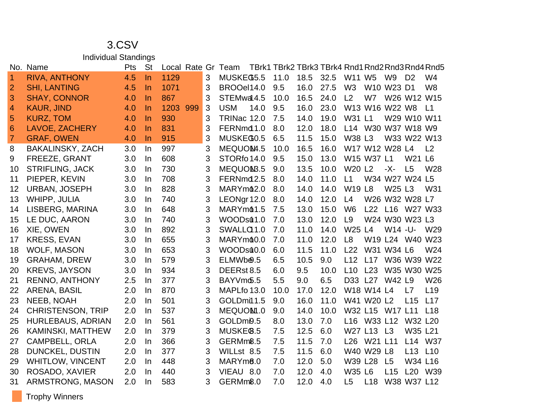Individual Standings

|                 | No. Name                 | Pts | <b>St</b> | Local Rate |     | Gr | Team                  | TBrk1 TBrk2 TBrk3 TBrk4 Rnd1 Rnd2 Rnd3 Rnd4 Rnd5 |      |      |                |                    |                                |                |                 |
|-----------------|--------------------------|-----|-----------|------------|-----|----|-----------------------|--------------------------------------------------|------|------|----------------|--------------------|--------------------------------|----------------|-----------------|
| $\mathbf 1$     | <b>RIVA, ANTHONY</b>     | 4.5 | ln        | 1129       |     | 3  | MUSKEG5.5             | 11.0                                             | 18.5 | 32.5 | W11 W5         |                    | W <sub>9</sub>                 | D <sub>2</sub> | W <sub>4</sub>  |
| $\overline{2}$  | <b>SHI, LANTING</b>      | 4.5 | $\ln$     | 1071       |     | 3  | BROOel14.0            | 9.5                                              | 16.0 | 27.5 | W <sub>3</sub> |                    | W10 W23 D1                     |                | W <sub>8</sub>  |
| 3               | <b>SHAY, CONNOR</b>      | 4.0 | <b>In</b> | 867        |     | 3  | STEMwa4.5             | 10.0                                             | 16.5 | 24.0 | L <sub>2</sub> | W7                 |                                |                | W26 W12 W15     |
| 4               | <b>KAUR, JIND</b>        | 4.0 | $\ln$     | 1203       | 999 | 3  | <b>USM</b><br>14.0    | 9.5                                              | 16.0 | 23.0 |                | W13 W16 W22 W8     |                                |                | L1              |
| 5               | <b>KURZ, TOM</b>         | 4.0 | $\ln$     | 930        |     | 3  | <b>TRINac 12.0</b>    | 7.5                                              | 14.0 | 19.0 | W31 L1         |                    |                                | W29 W10 W11    |                 |
| $6\phantom{1}6$ | LAVOE, ZACHERY           | 4.0 | ln        | 831        |     | 3  | FERNmd1.0             | 8.0                                              | 12.0 | 18.0 |                | L14 W30 W37 W18 W9 |                                |                |                 |
| $\overline{7}$  | <b>GRAF, OWEN</b>        | 4.0 | $\ln$     | 915        |     | 3  | MUSKEG0.5             | 6.5                                              | 11.5 | 15.0 | W38 L3         |                    |                                |                | W33 W22 W13     |
| 8               | <b>BAKALINSKY, ZACH</b>  | 3.0 | In        | 997        |     | 3  | MEQUOM4.5             | 10.0                                             | 16.5 | 16.0 |                | W17 W12 W28 L4     |                                |                | L <sub>2</sub>  |
| 9               | FREEZE, GRANT            | 3.0 | In        | 608        |     | 3  | STORfo 14.0           | 9.5                                              | 15.0 | 13.0 |                | W15 W37 L1         |                                | W21 L6         |                 |
| 10              | <b>STRIFLING, JACK</b>   | 3.0 | In        | 730        |     | 3  | MEQUOMB.5             | 9.0                                              | 13.5 | 10.0 | <b>W20 L2</b>  |                    | $-X-$                          | L5             | W <sub>28</sub> |
| 11              | PIEPER, KEVIN            | 3.0 | In        | 708        |     | 3  | FERNmd2.5             | 8.0                                              | 14.0 | 11.0 | L1             |                    | W34 W27 W24 L5                 |                |                 |
| 12              | <b>URBAN, JOSEPH</b>     | 3.0 | In        | 828        |     | 3  | MARYm <sub>62.0</sub> | 8.0                                              | 14.0 | 14.0 | <b>W19 L8</b>  |                    | W <sub>25</sub> L <sub>3</sub> |                | W31             |
| 13              | <b>WHIPP, JULIA</b>      | 3.0 | In        | 740        |     | 3  | LEONgr 12.0           | 8.0                                              | 14.0 | 12.0 | L4             |                    | W26 W32 W28 L7                 |                |                 |
| 14              | LISBERG, MARINA          | 3.0 | In        | 648        |     | 3  | MARYm <sup>61.5</sup> | 7.5                                              | 13.0 | 15.0 | W <sub>6</sub> | L22                |                                |                | L16 W27 W33     |
| 15              | LE DUC, AARON            | 3.0 | In.       | 740        |     | 3  | WOODsd1.0             | 7.0                                              | 13.0 | 12.0 | L9             |                    | W24 W30 W23 L3                 |                |                 |
| 16              | XIE, OWEN                | 3.0 | In        | 892        |     | 3  | SWALLO <sub>1.0</sub> | 7.0                                              | 11.0 | 14.0 | W25 L4         |                    | W14 -U-                        |                | W <sub>29</sub> |
| 17              | <b>KRESS, EVAN</b>       | 3.0 | In.       | 655        |     | 3  | MARYm <sub>40.0</sub> | 7.0                                              | 11.0 | 12.0 | L8             |                    |                                |                | W19 L24 W40 W23 |
| 18              | WOLF, MASON              | 3.0 | In.       | 653        |     | 3  | WOODsd <sub>0.0</sub> | 6.0                                              | 11.5 | 11.0 | L22            |                    | W31 W34 L6                     |                | W24             |
| 19              | <b>GRAHAM, DREW</b>      | 3.0 | In        | 579        |     | 3  | ELMWbe.5              | 6.5                                              | 10.5 | 9.0  | L12            | L17                |                                |                | W36 W39 W22     |
| 20              | <b>KREVS, JAYSON</b>     | 3.0 | In        | 934        |     | 3  | DEERst 8.5            | 6.0                                              | 9.5  | 10.0 | L10            | L23                |                                |                | W35 W30 W25     |
| 21              | <b>RENNO, ANTHONY</b>    | 2.5 | In        | 377        |     | 3  | BAYVmo.5              | 5.5                                              | 9.0  | 6.5  | D33            | L27                | <b>W42 L9</b>                  |                | W26             |
| 22              | ARENA, BASIL             | 2.0 | In        | 870        |     | 3  | MAPLfo 13.0           | 10.0                                             | 17.0 | 12.0 |                | W18 W14 L4         |                                | L7             | L <sub>19</sub> |
| 23              | NEEB, NOAH               | 2.0 | In        | 501        |     | 3  | GOLDmi11.5            | 9.0                                              | 16.0 | 11.0 |                | W41 W20 L2         |                                | L15            | L17             |
| 24              | <b>CHRISTENSON, TRIP</b> | 2.0 | In.       | 537        |     | 3  | MEQUOM .0             | 9.0                                              | 14.0 | 10.0 |                | W32 L15            | W17 L11                        |                | L18             |
| 25              | <b>HURLEBAUS, ADRIAN</b> | 2.0 | In        | 561        |     | 3  | GOLDm0.5              | 8.0                                              | 13.0 | 7.0  | L16            | W33 L12            |                                | W32 L20        |                 |
| 26              | <b>KAMINSKI, MATTHEW</b> | 2.0 | In        | 379        |     | 3  | MUSKE <sup>8.5</sup>  | 7.5                                              | 12.5 | 6.0  |                | W27 L13            | L3                             | W35 L21        |                 |
| 27              | <b>CAMPBELL, ORLA</b>    | 2.0 | In        | 366        |     | 3  | GERMm8.5              | 7.5                                              | 11.5 | 7.0  | L26            | W21 L11            |                                | L14            | <b>W37</b>      |
| 28              | DUNCKEL, DUSTIN          | 2.0 | In        | 377        |     | 3  | WILLst 8.5            | 7.5                                              | 11.5 | 6.0  |                | W40 W29 L8         |                                | L13            | L10             |
| 29              | <b>WHITLOW, VINCENT</b>  | 2.0 | In        | 448        |     | 3  | MARYm <sub>8.0</sub>  | 7.0                                              | 12.0 | 5.0  | W39 L28        |                    | L5                             | W34 L16        |                 |
| 30              | ROSADO, XAVIER           | 2.0 | In        | 440        |     | 3  | VIEAU 8.0             | 7.0                                              | 12.0 | 4.0  | <b>W35 L6</b>  |                    | L15                            | L20            | W39             |
| 31              | ARMSTRONG, MASON         | 2.0 | In        | 583        |     | 3  | GERMm8.0              | 7.0                                              | 12.0 | 4.0  | L <sub>5</sub> | L18                |                                | W38 W37 L12    |                 |

Trophy Winners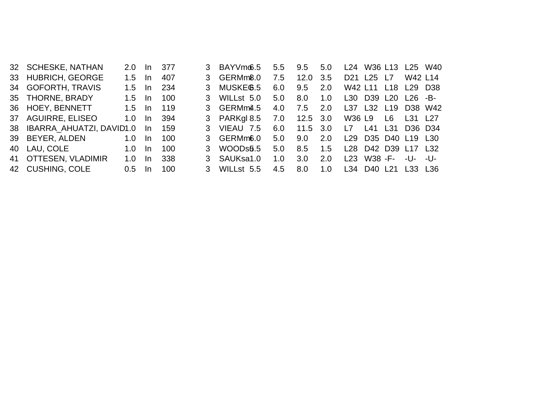| 32 SCHESKE, NATHAN          | $2.0 -$ | -In | 377 | 3 | BAYVmo6.5             | 5.5 | 9.5          | 5.0 |        | L24 W36 L13 L25 W40                                                             |    |                                 |         |
|-----------------------------|---------|-----|-----|---|-----------------------|-----|--------------|-----|--------|---------------------------------------------------------------------------------|----|---------------------------------|---------|
| 33 HUBRICH, GEORGE          | 1.5     | -In | 407 | 3 | GERM <sub>m</sub> 8.0 | 7.5 | $12.0$ $3.5$ |     |        | D21 L25 L7                                                                      |    | W42 L14                         |         |
| 34 GOFORTH, TRAVIS          | 1.5     | -In | 234 | 3 | MUSKE6.5              | 6.0 | 9.5          | 2.0 |        | W42 L11 L18                                                                     |    | L <sub>29</sub> D <sub>38</sub> |         |
| 35 THORNE, BRADY            | 1.5     | -In | 100 | 3 | WILLst 5.0            | 5.0 | 8.0          | 1.0 |        | L30 D39 L20                                                                     |    | $L26$ -B-                       |         |
| 36 HOEY, BENNETT            | 1.5     | -In | 119 | 3 | GERMm4.5              | 4.0 | 7.5          | 2.0 |        | L37 L32 L19                                                                     |    |                                 | D38 W42 |
| 37 AGUIRRE, ELISEO          | 1.0     | -In | 394 |   | 3 PARKal 8.5          | 7.0 | $12.5$ 3.0   |     | W36 L9 |                                                                                 | L6 | L31 L27                         |         |
| 38 IBARRA AHUATZI, DAVID1.0 |         | In. | 159 |   | 3 VIEAU 7.5           | 6.0 | $11.5$ 3.0   |     | L7     | L41 L31                                                                         |    | D36 D34                         |         |
| 39 BEYER, ALDEN             | 1.0     | -In | 100 | 3 | GERMm6.0              | 5.0 | 9.0          | 2.0 |        | L <sub>29</sub> D <sub>35</sub> D <sub>40</sub> L <sub>19</sub> L <sub>30</sub> |    |                                 |         |
| 40 LAU, COLE                | 1.0     | -In | 100 |   | 3 WOODs6.5            | 5.0 | 8.5          | 1.5 |        | L28 D42 D39 L17 L32                                                             |    |                                 |         |
| 41 OTTESEN, VLADIMIR        | 1.0     | -In | 338 |   | 3 SAUKsa1.0           | 1.0 | 3.0          | 2.0 |        | L23 W38 -F-                                                                     |    | -U- -U-                         |         |
| 42 CUSHING, COLE            | 0.5     | -In | 100 |   | 3 WILLst 5.5          | 4.5 | 8.0          | 1.0 |        | L34 D40 L21                                                                     |    | L33 L36                         |         |
|                             |         |     |     |   |                       |     |              |     |        |                                                                                 |    |                                 |         |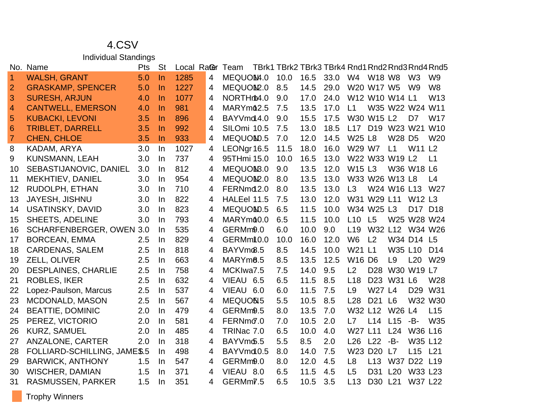|  | <b>Individual Standings</b> |
|--|-----------------------------|
|--|-----------------------------|

| No.            | Name                         | Pts | <b>St</b> | Local RaGer |                | Team |                       | TBrk1 TBrk2 TBrk3 TBrk4 Rnd1 Rnd2 Rnd3 Rnd4 Rnd5 |      |      |                 |                 |                 |                                 |                 |
|----------------|------------------------------|-----|-----------|-------------|----------------|------|-----------------------|--------------------------------------------------|------|------|-----------------|-----------------|-----------------|---------------------------------|-----------------|
| 1              | <b>WALSH, GRANT</b>          | 5.0 | $\ln$     | 1285        | $\overline{4}$ |      | MEQUOM4.0             | 10.0                                             | 16.5 | 33.0 | W4              | W18 W8          |                 | W <sub>3</sub>                  | W <sub>9</sub>  |
| $\overline{2}$ | <b>GRASKAMP, SPENCER</b>     | 5.0 | <u>In</u> | 1227        | 4              |      | MEQUON <sub>2.0</sub> | 8.5                                              | 14.5 | 29.0 |                 | W20 W17 W5      |                 | W <sub>9</sub>                  | W <sub>8</sub>  |
| 3              | <b>SURESH, ARJUN</b>         | 4.0 | $\ln$     | 1077        | 4              |      | NORTHm4.0             | 9.0                                              | 17.0 | 24.0 |                 |                 | W12 W10 W14 L1  |                                 | W13             |
| 4              | <b>CANTWELL, EMERSON</b>     | 4.0 | <b>In</b> | 981         | 4              |      | MARYm <sub>02.5</sub> | 7.5                                              | 13.5 | 17.0 | L <sub>1</sub>  |                 |                 | W35 W22 W24 W11                 |                 |
| 5              | <b>KUBACKI, LEVONI</b>       | 3.5 | <u>In</u> | 896         | 4              |      | BAYVmd4.0             | 9.0                                              | 15.5 | 17.5 |                 | W30 W15 L2      |                 | D7                              | <b>W17</b>      |
| 6              | <b>TRIBLET, DARRELL</b>      | 3.5 | $\ln$     | 992         | $\overline{4}$ |      | SILOmi 10.5           | 7.5                                              | 13.0 | 18.5 |                 |                 | L17 D19 W23 W21 |                                 | W <sub>10</sub> |
| $\overline{7}$ | <b>CHEN, CHLOE</b>           | 3.5 | $\ln$     | 933         | 4              |      | MEQUON <sub>0.5</sub> | 7.0                                              | 12.0 | 14.5 | <b>W25 L8</b>   |                 | W28 D5          |                                 | W <sub>20</sub> |
| 8              | KADAM, ARYA                  | 3.0 | In        | 1027        | 4              |      | LEONgr 16.5           | 11.5                                             | 18.0 | 16.0 | W29 W7          |                 | L1              | W11 L2                          |                 |
| 9              | <b>KUNSMANN, LEAH</b>        | 3.0 | <b>In</b> | 737         | 4              |      | 95THmi 15.0           | 10.0                                             | 16.5 | 13.0 |                 |                 | W22 W33 W19 L2  |                                 | L1              |
| 10             | SEBASTIJANOVIC, DANIEL       | 3.0 | In        | 812         | 4              |      | MEQUOM <sub>B.0</sub> | 9.0                                              | 13.5 | 12.0 | W15 L3          |                 |                 | W36 W18 L6                      |                 |
| 11             | MEKHTIEV, DANIEL             | 3.0 | In.       | 954         | 4              |      | MEQUON <sub>2.0</sub> | 8.0                                              | 13.5 | 13.0 |                 |                 | W33 W26 W13 L8  |                                 | L4              |
| 12             | RUDOLPH, ETHAN               | 3.0 | <b>In</b> | 710         | 4              |      | FERNmd2.0             | 8.0                                              | 13.5 | 13.0 | L3              |                 | W24 W16 L13     |                                 | W <sub>27</sub> |
| 13             | JAYESH, JISHNU               | 3.0 | In        | 822         | 4              |      | HALEel 11.5           | 7.5                                              | 13.0 | 12.0 |                 | W31 W29 L11     |                 | W12 L3                          |                 |
| 14             | USATINSKY, DAVID             | 3.0 | In        | 823         | 4              |      | MEQUON <sub>D.5</sub> | 6.5                                              | 11.5 | 10.0 |                 | W34 W25 L3      |                 | D17                             | D <sub>18</sub> |
| 15             | <b>SHEETS, ADELINE</b>       | 3.0 | In        | 793         | 4              |      | MARYm <sub>60.0</sub> | 6.5                                              | 11.5 | 10.0 | L10             | L5              |                 | W25 W28 W24                     |                 |
| 16             | SCHARFENBERGER, OWEN 3.0     |     | In        | 535         | 4              |      | GERMm <sub>9.0</sub>  | 6.0                                              | 10.0 | 9.0  | L <sub>19</sub> |                 |                 | W32 L12 W34 W26                 |                 |
| 17             | <b>BORCEAN, EMMA</b>         | 2.5 | In        | 829         | 4              |      | GERMm10.0             | 10.0                                             | 16.0 | 12.0 | W <sub>6</sub>  | L <sub>2</sub>  |                 | W34 D14 L5                      |                 |
| 18             | <b>CARDENAS, SALEM</b>       | 2.5 | In        | 818         | 4              |      | BAYVm <sub>6.5</sub>  | 8.5                                              | 14.5 | 10.0 | W21 L1          |                 | W35 L10         |                                 | D <sub>14</sub> |
| 19             | ZELL, OLIVER                 | 2.5 | In.       | 663         | 4              |      | MARYm <sub>8.5</sub>  | 8.5                                              | 13.5 | 12.5 | W16 D6          |                 | L <sub>9</sub>  | L20                             | W <sub>29</sub> |
| 20             | <b>DESPLAINES, CHARLIE</b>   | 2.5 | In        | 758         | 4              |      | MCKIwa7.5             | 7.5                                              | 14.0 | 9.5  | L2              | D <sub>28</sub> |                 | W30 W19 L7                      |                 |
| 21             | <b>ROBLES, IKER</b>          | 2.5 | In        | 632         | 4              |      | VIEAU 6.5             | 6.5                                              | 11.5 | 8.5  | L18             | D <sub>23</sub> | W31             | L <sub>6</sub>                  | W28             |
| 22             | Lopez-Paulson, Marcus        | 2.5 | <b>In</b> | 537         | 4              |      | VIEAU 6.0             | 6.0                                              | 11.5 | 7.5  | L <sub>9</sub>  | <b>W27 L4</b>   |                 | D <sub>29</sub>                 | W31             |
| 23             | MCDONALD, MASON              | 2.5 | In        | 567         | 4              |      | MEQUON <sub>5</sub>   | 5.5                                              | 10.5 | 8.5  | L28             | D <sub>21</sub> | L6              | W32 W30                         |                 |
| 24             | <b>BEATTIE, DOMINIC</b>      | 2.0 | <b>In</b> | 479         | 4              |      | GERMm <sub>9.5</sub>  | 8.0                                              | 13.5 | 7.0  | W32 L12         |                 | W26 L4          |                                 | L15             |
| 25             | PEREZ, VICTORIO              | 2.0 | In        | 581         | 4              |      | $FERNm\bar{\sigma}.0$ | 7.0                                              | 10.5 | 2.0  | L7              | L14             | L15             | -B-                             | <b>W35</b>      |
| 26             | <b>KURZ, SAMUEL</b>          | 2.0 | In        | 485         | 4              |      | TRINac 7.0            | 6.5                                              | 10.0 | 4.0  | W27 L11         |                 | L24             | W36 L16                         |                 |
| 27             | ANZALONE, CARTER             | 2.0 | In        | 318         | 4              |      | BAYVmo <sub>5.5</sub> | 5.5                                              | 8.5  | 2.0  | L26             | L22             | -B-             | W35 L12                         |                 |
| 28             | FOLLIARD-SCHILLING, JAME\$.5 |     | <b>In</b> | 498         | 4              |      | BAYVmd0.5             | 8.0                                              | 14.0 | 7.5  | W23 D20         |                 | L7              | L15                             | L21             |
| 29             | <b>BARWICK, ANTHONY</b>      | 1.5 | In.       | 547         | 4              |      | GERM <sub>m9.0</sub>  | 8.0                                              | 12.0 | 4.5  | L <sub>8</sub>  | L13             | <b>W37</b>      | D <sub>22</sub> L <sub>19</sub> |                 |
| 30             | <b>WISCHER, DAMIAN</b>       | 1.5 | In        | 371         | 4              |      | VIEAU 8.0             | 6.5                                              | 11.5 | 4.5  | L <sub>5</sub>  | D31             | L20             | W33 L23                         |                 |
| 31             | <b>RASMUSSEN, PARKER</b>     | 1.5 | In        | 351         | 4              |      | GERMm7.5              | 6.5                                              | 10.5 | 3.5  | L13             | D <sub>30</sub> | L21             | <b>W37 L22</b>                  |                 |

Trophy Winners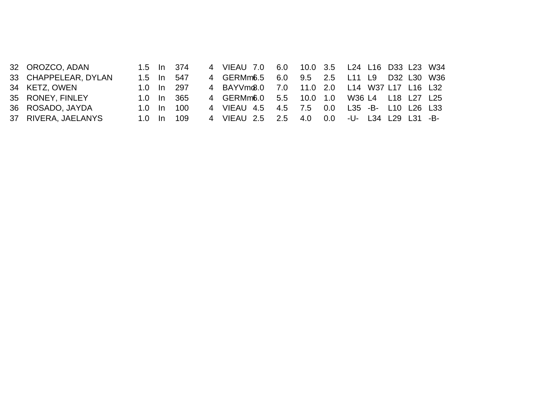| 32 OROZCO, ADAN      |                | 1.5 ln 374 | 4 VIEAU 7.0 6.0 10.0 3.5 L24 L16 D33 L23 W34 |  |  |                     |  |  |
|----------------------|----------------|------------|----------------------------------------------|--|--|---------------------|--|--|
| 33 CHAPPELEAR, DYLAN | $1.5$ In       | 547        | 4 GERMm6.5 6.0 9.5 2.5 L11 L9 D32 L30 W36    |  |  |                     |  |  |
| 34 KETZ. OWEN        | $1.0 \quad$ In | 297        | 4 BAYVm&.0 7.0 11.0 2.0 L14 W37 L17 L16 L32  |  |  |                     |  |  |
| 35 RONEY, FINLEY     | $1.0 \quad$ In | 365        | 4 GERMm6.0 5.5 10.0 1.0 W36 L4 L18 L27 L25   |  |  |                     |  |  |
| 36 ROSADO, JAYDA     | $1.0 \quad$ In | 100        | 4 VIEAU 4.5 4.5 7.5 0.0 L35 -B- L10 L26 L33  |  |  |                     |  |  |
| 37 RIVERA, JAELANYS  | $1.0 \quad$ In | 109        | 4 VIEAU 2.5 2.5 4.0 0.0                      |  |  | -U- L34 L29 L31 -B- |  |  |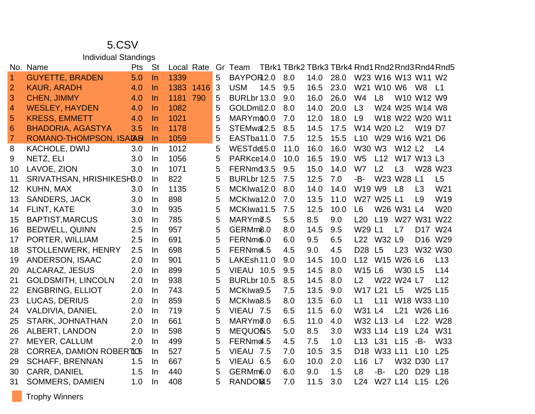Individual Standings

|                | No. Name                  | Pts | <b>St</b> | Local Rate |      | Gr | Team                  |      |      | TBrk1 TBrk2 TBrk3 TBrk4 Rnd1 Rnd2 Rnd3 Rnd4 Rnd5 |      |                 |                |                    |                 |                 |
|----------------|---------------------------|-----|-----------|------------|------|----|-----------------------|------|------|--------------------------------------------------|------|-----------------|----------------|--------------------|-----------------|-----------------|
| 1.             | <b>GUYETTE, BRADEN</b>    | 5.0 | $\ln$     | 1339       |      | 5  | BAYPOR <sub>2.0</sub> |      | 8.0  | 14.0                                             | 28.0 |                 |                | W23 W16 W13 W11 W2 |                 |                 |
| $\overline{2}$ | <b>KAUR, ARADH</b>        | 4.0 | $\ln$     | 1383       | 1416 | 3  | <b>USM</b>            | 14.5 | 9.5  | 16.5                                             | 23.0 |                 | W21 W10 W6     |                    | W8              | L1              |
| 3              | <b>CHEN, JIMMY</b>        | 4.0 | $\ln$     | 1181       | 790  | 5  | BURLbr 13.0           |      | 9.0  | 16.0                                             | 26.0 | W <sub>4</sub>  | L8             |                    | W10 W12 W9      |                 |
| 4              | <b>WESLEY, HAYDEN</b>     | 4.0 | $\ln$     | 1082       |      | 5  | GOLDmi12.0            |      | 8.0  | 14.0                                             | 20.0 | L3              |                | W24 W25 W14 W8     |                 |                 |
| 5              | <b>KRESS, EMMETT</b>      | 4.0 | <u>In</u> | 1021       |      | 5  | MARYm <sup>60.0</sup> |      | 7.0  | 12.0                                             | 18.0 | L9              |                | W18 W22 W20 W11    |                 |                 |
| 6              | <b>BHADORIA, AGASTYA</b>  | 3.5 | <b>In</b> | 1178       |      | 5  | STEMwa12.5            |      | 8.5  | 14.5                                             | 17.5 |                 | W14 W20 L2     |                    | <b>W19 D7</b>   |                 |
| 7              | ROMANO-THOMPSON, ISAIAH   |     | $\ln$     | 1059       |      | 5  | EASTba11.0            |      | 7.5  | 12.5                                             | 15.5 | L10             |                | W29 W16 W21 D6     |                 |                 |
| 8              | <b>KACHOLE, DWIJ</b>      | 3.0 | -ln       | 1012       |      | 5  | WESTde 5.0            |      | 11.0 | 16.0                                             | 16.0 | W30 W3          |                | <b>W12 L2</b>      |                 | L4              |
| 9              | NETZ, ELI                 | 3.0 | <b>In</b> | 1056       |      | 5  | PARKce14.0            |      | 10.0 | 16.5                                             | 19.0 | W <sub>5</sub>  | L12            | W17 W13 L3         |                 |                 |
| 10             | LAVOE, ZION               | 3.0 | In.       | 1071       |      | 5  | FERNmd3.5             |      | 9.5  | 15.0                                             | 14.0 | W7              | L2             | L3                 |                 | W28 W23         |
| 11             | SRIVATHSAN, HRISHIKESH3.0 |     | In        | 822        |      | 5  | BURLbr 12.5           |      | 7.5  | 12.5                                             | 7.0  | -В-             |                | W23 W28            | L1              | L5              |
| 12             | <b>KUHN, MAX</b>          | 3.0 | -In       | 1135       |      | 5  | MCKIwa12.0            |      | 8.0  | 14.0                                             | 14.0 | W19 W9          |                | L8                 | L3              | W <sub>21</sub> |
| 13             | <b>SANDERS, JACK</b>      | 3.0 | <b>In</b> | 898        |      | 5  | MCKIwa12.0            |      | 7.0  | 13.5                                             | 11.0 |                 | W27 W25 L1     |                    | L <sub>9</sub>  | W19             |
| 14             | FLINT, KATE               | 3.0 | In        | 935        |      | 5  | MCKIwa11.5            |      | 7.5  | 12.5                                             | 10.0 | L <sub>6</sub>  |                | W26 W31            | L <sub>4</sub>  | W20             |
| 15             | <b>BAPTIST, MARCUS</b>    | 3.0 | -ln       | 785        |      | 5  | MARYm <sub>0.5</sub>  |      | 5.5  | 8.5                                              | 9.0  | L20             | L19            | W27 W31 W22        |                 |                 |
| 16             | <b>BEDWELL, QUINN</b>     | 2.5 | In        | 957        |      | 5  | GERMm8.0              |      | 8.0  | 14.5                                             | 9.5  | W29 L1          |                | L7                 |                 | D17 W24         |
| 17             | PORTER, WILLIAM           | 2.5 | $\ln$     | 691        |      | 5  | FERNm6.0              |      | 6.0  | 9.5                                              | 6.5  | L22             | W32 L9         |                    | D <sub>16</sub> | W <sub>29</sub> |
| 18             | STOLLENWERK, HENRY        | 2.5 | -In       | 698        |      | 5  | FERNmd.5              |      | 4.5  | 9.0                                              | 4.5  | D <sub>28</sub> | L <sub>5</sub> | L23                |                 | W32 W30         |
| 19             | ANDERSON, ISAAC           | 2.0 | In.       | 901        |      | 5  | LAKEsh 11.0           |      | 9.0  | 14.5                                             | 10.0 |                 |                | L12 W15 W26 L6     |                 | L13             |
| 20             | <b>ALCARAZ, JESUS</b>     | 2.0 | -ln       | 899        |      | 5  | <b>VIEAU 10.5</b>     |      | 9.5  | 14.5                                             | 8.0  | <b>W15 L6</b>   |                | <b>W30 L5</b>      |                 | L14             |
| 21             | <b>GOLDSMITH, LINCOLN</b> | 2.0 | $\ln$     | 938        |      | 5  | BURLbr 10.5           |      | 8.5  | 14.5                                             | 8.0  | L <sub>2</sub>  |                | W22 W24 L7         |                 | L12             |
| 22             | <b>ENGBRING, ELLIOT</b>   | 2.0 | In.       | 743        |      | 5  | MCKIwa9.5             |      | 7.5  | 13.5                                             | 9.0  | W17 L21         |                | L5                 | W25 L15         |                 |
| 23             | <b>LUCAS, DERIUS</b>      | 2.0 | $\ln$     | 859        |      | 5  | MCKIwa8.5             |      | 8.0  | 13.5                                             | 6.0  | L1              | L11            |                    | W18 W33 L10     |                 |
| 24             | <b>VALDIVIA, DANIEL</b>   | 2.0 | In.       | 719        |      | 5  | VIEAU 7.5             |      | 6.5  | 11.5                                             | 6.0  | W31 L4          |                | L21                | W26 L16         |                 |
| 25             | STARK, JOHNATHAN          | 2.0 | -ln       | 661        |      | 5  | MARYm <sub>0.0</sub>  |      | 6.5  | 11.0                                             | 4.0  | W32 L13         |                | L4                 | L22             | W <sub>28</sub> |
| 26             | ALBERT, LANDON            | 2.0 | $\ln$     | 598        |      | 5  | MEQUO515              |      | 5.0  | 8.5                                              | 3.0  | W33 L14         |                | L19                | L24             | W31             |
| 27             | <b>MEYER, CALLUM</b>      | 2.0 | $\ln$     | 499        |      | 5  | FERNmd.5              |      | 4.5  | 7.5                                              | 1.0  | L13             | L31            | L15                | $-B-$           | <b>W33</b>      |
| 28             | CORREA, DAMION ROBERTIO5  |     | In        | 527        |      | 5  | VIEAU 7.5             |      | 7.0  | 10.5                                             | 3.5  | D <sub>18</sub> | W33 L11        |                    | L10             | L25             |
| 29             | <b>SCHAFF, BRENNAN</b>    | 1.5 | -ln       | 667        |      | 5  | VIEAU 6.5             |      | 6.0  | 10.0                                             | 2.0  | L16             | L7             | W32 D30            |                 | L17             |
| 30             | <b>CARR, DANIEL</b>       | 1.5 | $\ln$     | 440        |      | 5  | GERM <sub>m</sub> 6.0 |      | 6.0  | 9.0                                              | 1.5  | L <sub>8</sub>  | -B-            | L20                | D <sub>29</sub> | L18             |
| 31             | SOMMERS, DAMIEN           | 1.0 | In.       | 408        |      | 5  | RANDOM <sub>5</sub>   |      | 7.0  | 11.5                                             | 3.0  | L24             | W27 L14        |                    | L15             | L26             |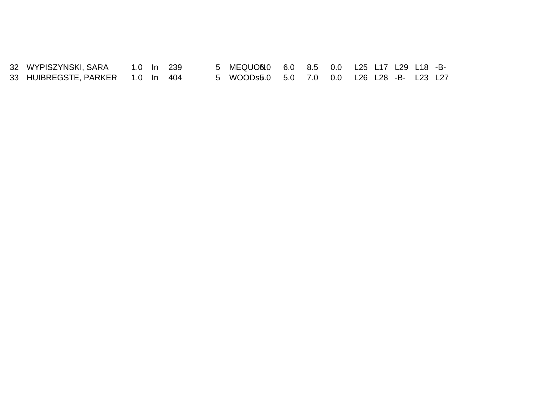| 32 WYPISZYNSKI, SARA             |  | 1.0 ln 239 | 5 MEQUON0 6.0 8.5 0.0 L25 L17 L29 L18 -B-  |  |  |  |  |
|----------------------------------|--|------------|--------------------------------------------|--|--|--|--|
| 33 HUIBREGSTE, PARKER 1.0 In 404 |  |            | 5 WOODs6.0 5.0 7.0 0.0 L26 L28 -B- L23 L27 |  |  |  |  |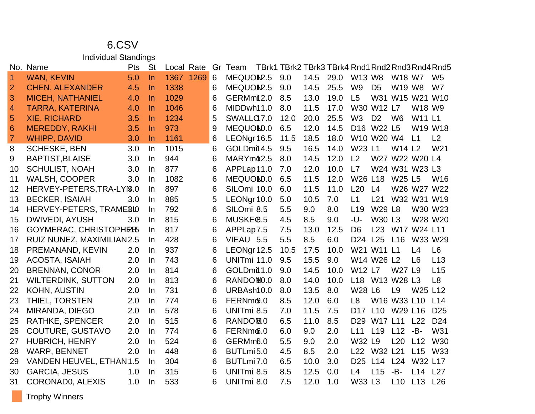Individual Standings

|                 | No. Name                       | Pts | <b>St</b> | Local Rate | Gr | Team                  | TBrk1 TBrk2 TBrk3 TBrk4 Rnd1 Rnd2 Rnd3 Rnd4 Rnd5 |      |      |                                 |                                                |                                                 |                 |                 |
|-----------------|--------------------------------|-----|-----------|------------|----|-----------------------|--------------------------------------------------|------|------|---------------------------------|------------------------------------------------|-------------------------------------------------|-----------------|-----------------|
| 1               | <b>WAN, KEVIN</b>              | 5.0 | $\ln$     | 1367 1269  | 6  | MEQUON <sub>2.5</sub> | 9.0                                              | 14.5 | 29.0 | W13 W8                          |                                                | W18 W7                                          |                 | W <sub>5</sub>  |
| $\overline{2}$  | <b>CHEN, ALEXANDER</b>         | 4.5 | <u>In</u> | 1338       | 6  | MEQUON <sub>2.5</sub> | 9.0                                              | 14.5 | 25.5 | W <sub>9</sub>                  | D <sub>5</sub>                                 | <b>W19 W8</b>                                   |                 | W7              |
| 3               | <b>MICEH, NATHANIEL</b>        | 4.0 | <b>In</b> | 1029       | 6  | GERMmi12.0            | 8.5                                              | 13.0 | 19.0 | L5                              |                                                |                                                 | W31 W15 W21 W10 |                 |
| 4               | <b>TARRA, KATERINA</b>         | 4.0 | <u>In</u> | 1046       | 6  | MIDDwh11.0            | 8.0                                              | 11.5 | 17.0 |                                 | W30 W12 L7                                     |                                                 | W18 W9          |                 |
| 5               | <b>XIE, RICHARD</b>            | 3.5 | <u>In</u> | 1234       | 5  | SWALLG7.0             | 12.0                                             | 20.0 | 25.5 | W <sub>3</sub>                  | D <sub>2</sub>                                 | W <sub>6</sub>                                  | <b>W11 L1</b>   |                 |
| $6\phantom{1}6$ | <b>MEREDDY, RAKHI</b>          | 3.5 | <b>In</b> | 973        | 9  | MEQUOM <sub>D.0</sub> | 6.5                                              | 12.0 | 14.5 |                                 | D <sub>16</sub> W <sub>22</sub> L <sub>5</sub> |                                                 |                 | W19 W18         |
| 7               | <b>WHIPP, DAVID</b>            | 3.0 | $\ln$     | 1161       | 6  | LEONgr 16.5           | 11.5                                             | 18.5 | 18.0 |                                 | W10 W20 W4                                     |                                                 | L <sub>1</sub>  | L2              |
| 8               | <b>SCHESKE, BEN</b>            | 3.0 | <b>In</b> | 1015       | 6  | GOLDmi14.5            | 9.5                                              | 16.5 | 14.0 | W23 L1                          |                                                | <b>W14 L2</b>                                   |                 | W <sub>21</sub> |
| 9               | <b>BAPTIST, BLAISE</b>         | 3.0 | In.       | 944        | 6  | MARYm <sub>02.5</sub> | 8.0                                              | 14.5 | 12.0 | L2                              |                                                |                                                 | W27 W22 W20 L4  |                 |
| 10              | <b>SCHULIST, NOAH</b>          | 3.0 | In        | 877        | 6  | APPLap11.0            | 7.0                                              | 12.0 | 10.0 | L7                              |                                                |                                                 | W24 W31 W23 L3  |                 |
| 11              | <b>WALSH, COOPER</b>           | 3.0 | <b>In</b> | 1082       | 6  | MEQUOM <sub>D.0</sub> | 6.5                                              | 11.5 | 12.0 | W26 L18                         |                                                | <b>W25 L5</b>                                   |                 | W <sub>16</sub> |
| 12              | HERVEY-PETERS, TRA-LYNS.0      |     | In.       | 897        | 6  | SILOmi 10.0           | 6.0                                              | 11.5 | 11.0 | L20                             | L <sub>4</sub>                                 |                                                 | W26 W27 W22     |                 |
| 13              | <b>BECKER, ISAIAH</b>          | 3.0 | In        | 885        | 5  | LEONgr 10.0           | 5.0                                              | 10.5 | 7.0  | L1                              | L21                                            |                                                 | W32 W31 W19     |                 |
| 14              | HERVEY-PETERS, TRAMEBIO        |     | In.       | 792        | 6  | SILOmi 8.5            | 5.5                                              | 9.0  | 8.0  | L19                             | <b>W29 L8</b>                                  |                                                 |                 | W30 W23         |
| 15              | <b>DWIVEDI, AYUSH</b>          | 3.0 | In.       | 815        | 6  | MUSKE <sup>8.5</sup>  | 4.5                                              | 8.5  | 9.0  | -U-                             | <b>W30 L3</b>                                  |                                                 |                 | W28 W20         |
| 16              | GOYMERAC, CHRISTOPHER5         |     | In        | 817        | 6  | APPLap7.5             | 7.5                                              | 13.0 | 12.5 | D <sub>6</sub>                  | L23                                            |                                                 | W17 W24 L11     |                 |
| 17              | RUIZ NUNEZ, MAXIMILIAN 2.5     |     | <b>In</b> | 428        | 6  | VIEAU 5.5             | 5.5                                              | 8.5  | 6.0  | D <sub>24</sub> L <sub>25</sub> |                                                | L16                                             | W33 W29         |                 |
| 18              | PREMANAND, KEVIN               | 2.0 | <b>In</b> | 937        | 6  | LEONgr 12.5           | 10.5                                             | 17.5 | 10.0 |                                 | W21 W11 L1                                     |                                                 | L4              | L <sub>6</sub>  |
| 19              | <b>ACOSTA, ISAIAH</b>          | 2.0 | In.       | 743        | 6  | <b>UNITmi 11.0</b>    | 9.5                                              | 15.5 | 9.0  |                                 | W14 W26 L2                                     |                                                 | L6              | L13             |
| 20              | <b>BRENNAN, CONOR</b>          | 2.0 | In        | 814        | 6  | GOLDmi11.0            | 9.0                                              | 14.5 | 10.0 | W12 L7                          |                                                | <b>W27 L9</b>                                   |                 | L15             |
| 21              | <b>WILTERDINK, SUTTON</b>      | 2.0 | <b>In</b> | 813        | 6  | RANDOM <sub>0.0</sub> | 8.0                                              | 14.0 | 10.0 | L18                             |                                                | W13 W28 L3                                      |                 | L <sub>8</sub>  |
| 22              | <b>KOHN, AUSTIN</b>            | 2.0 | In.       | 731        | 6  | URBAsh10.0            | 8.0                                              | 13.5 | 8.0  | <b>W28 L6</b>                   |                                                | L <sub>9</sub>                                  | W25 L12         |                 |
| 23              | <b>THIEL, TORSTEN</b>          | 2.0 | <b>In</b> | 774        | 6  | FERNm <sup>o</sup> .0 | 8.5                                              | 12.0 | 6.0  | L8                              |                                                | W <sub>16</sub> W <sub>33</sub> L <sub>10</sub> |                 | L14             |
| 24              | MIRANDA, DIEGO                 | 2.0 | $\ln$     | 578        | 6  | UNITmi 8.5            | 7.0                                              | 11.5 | 7.5  | D <sub>17</sub>                 | L10                                            | W29 L16                                         |                 | D <sub>25</sub> |
| 25              | <b>RATHKE, SPENCER</b>         | 2.0 | In.       | 515        | 6  | RANDOM <sub>0</sub>   | 6.5                                              | 11.0 | 8.5  | D <sub>29</sub>                 | W17 L11                                        |                                                 | L22             | D <sub>24</sub> |
| 26              | COUTURE, GUSTAVO               | 2.0 | In.       | 774        | 6  | FERNm6.0              | 6.0                                              | 9.0  | 2.0  | L11                             | L <sub>19</sub>                                | L12                                             | -B-             | W31             |
| 27              | <b>HUBRICH, HENRY</b>          | 2.0 | In        | 524        | 6  | GERMm6.0              | 5.5                                              | 9.0  | 2.0  | <b>W32 L9</b>                   |                                                | L20                                             | L12             | <b>W30</b>      |
| 28              | <b>WARP, BENNET</b>            | 2.0 | <b>In</b> | 448        | 6  | BUTLmi5.0             | 4.5                                              | 8.5  | 2.0  | L22                             | W32 L21                                        |                                                 | L15             | <b>W33</b>      |
| 29              | <b>VANDEN HEUVEL, ETHAN1.5</b> |     | <b>In</b> | 304        | 6  | BUTLmi7.0             | 6.5                                              | 10.0 | 3.0  | D <sub>25</sub>                 | L14                                            | L24                                             | W32 L17         |                 |
| 30              | <b>GARCIA, JESUS</b>           | 1.0 | In        | 315        | 6  | UNITmi 8.5            | 8.5                                              | 12.5 | 0.0  | L4                              | L15                                            | -B-                                             | L14             | L27             |
| 31              | <b>CORONADO, ALEXIS</b>        | 1.0 | In        | 533        | 6  | UNITmi 8.0            | 7.5                                              | 12.0 | 1.0  | W33 L3                          |                                                | L10                                             | L13             | L26             |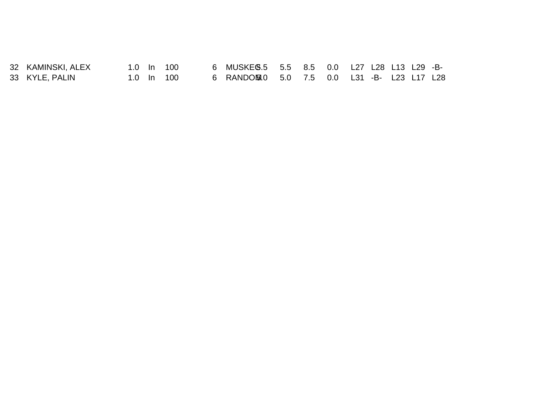| 32 KAMINSKI, ALEX |  | 1.0 ln 100 | 6 MUSKEG.5 5.5 8.5 0.0 L27 L28 L13 L29 -B- |  |  |  |  |
|-------------------|--|------------|--------------------------------------------|--|--|--|--|
| 33 KYLE, PALIN    |  | 1.0 In 100 | 6 RANDOM50 5.0 7.5 0.0 L31 -B- L23 L17 L28 |  |  |  |  |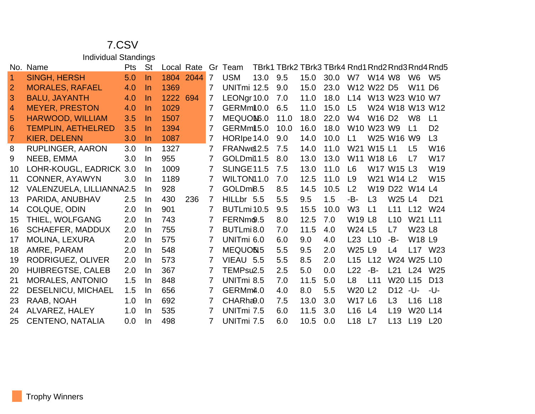| <b>Individual Standings</b> |  |  |
|-----------------------------|--|--|
|                             |  |  |

|                | No. Name                  | Pts | <b>St</b> | Local Rate |           | Gr             | Team                   |      | TBrk1 TBrk2 TBrk3 TBrk4 Rnd1 Rnd2 Rnd3 Rnd4 Rnd5 |      |      |                |                                                |                     |                 |                 |
|----------------|---------------------------|-----|-----------|------------|-----------|----------------|------------------------|------|--------------------------------------------------|------|------|----------------|------------------------------------------------|---------------------|-----------------|-----------------|
|                | <b>SINGH, HERSH</b>       | 5.0 | In        |            | 1804 2044 | $\overline{7}$ | <b>USM</b>             | 13.0 | 9.5                                              | 15.0 | 30.0 | W7             | W14 W8                                         |                     | W <sub>6</sub>  | W <sub>5</sub>  |
| $\overline{2}$ | <b>MORALES, RAFAEL</b>    | 4.0 | In.       | 1369       |           | 7              | <b>UNITmi 12.5</b>     |      | 9.0                                              | 15.0 | 23.0 |                | W12 W22 D5                                     |                     | W11             | D <sub>6</sub>  |
| 3              | <b>BALU, JAYANTH</b>      | 4.0 | In        | 1222 694   |           | 7              | LEONgr 10.0            |      | 7.0                                              | 11.0 | 18.0 | L14            |                                                |                     | W13 W23 W10 W7  |                 |
| 4              | <b>MEYER, PRESTON</b>     | 4.0 | <u>In</u> | 1029       |           | 7              | GERMm10.0              |      | 6.5                                              | 11.0 | 15.0 | L5             |                                                |                     | W24 W18 W13 W12 |                 |
| 5              | <b>HARWOOD, WILLIAM</b>   | 3.5 | <b>In</b> | 1507       |           | $\overline{7}$ | MEQUON <sub>6.0</sub>  |      | 11.0                                             | 18.0 | 22.0 | W4             | W <sub>16</sub> D <sub>2</sub>                 |                     | W <sub>8</sub>  | L1              |
| 6              | <b>TEMPLIN, AETHELRED</b> | 3.5 | $\ln$     | 1394       |           | 7              | GERMmi <sub>15.0</sub> |      | 10.0                                             | 16.0 | 18.0 |                | W <sub>10</sub> W <sub>23</sub> W <sub>9</sub> |                     | L1              | D <sub>2</sub>  |
| 7              | KIER, DELENN              | 3.0 | In.       | 1087       |           | 7              | HORIpe 14.0            |      | 9.0                                              | 14.0 | 10.0 | L1             |                                                | W25 W16 W9          |                 | L3              |
| 8              | <b>RUPLINGER, AARON</b>   | 3.0 | In.       | 1327       |           | 7              | FRANwel 2.5            |      | 7.5                                              | 14.0 | 11.0 |                | W21 W15 L1                                     |                     | L5              | W <sub>16</sub> |
| 9              | NEEB, EMMA                | 3.0 | In.       | 955        |           | 7              | GOLDmi11.5             |      | 8.0                                              | 13.0 | 13.0 | W11            | <b>W18 L6</b>                                  |                     | L7              | <b>W17</b>      |
| 10             | LOHR-KOUGL, EADRICK 3.0   |     | In.       | 1009       |           | 7              | <b>SLINGE11.5</b>      |      | 7.5                                              | 13.0 | 11.0 | L6             |                                                | W17 W15 L3          |                 | W19             |
| 11             | CONNER, AYAWYN            | 3.0 | In        | 1189       |           | 7              | WILTON11.0             |      | 7.0                                              | 12.5 | 11.0 | L9             |                                                | W21 W14 L2          |                 | W <sub>15</sub> |
| 12             | VALENZUELA, LILLIANNA2.5  |     | In        | 928        |           | $\overline{7}$ | GOLDmB.5               |      | 8.5                                              | 14.5 | 10.5 | L <sub>2</sub> |                                                |                     | W19 D22 W14 L4  |                 |
| 13             | PARIDA, ANUBHAV           | 2.5 | In.       | 430        | 236       | $\overline{7}$ | HILLbr 5.5             |      | 5.5                                              | 9.5  | 1.5  | -B-            | L3                                             | W25 L4              |                 | D <sub>21</sub> |
| 14             | COLQUE, ODIN              | 2.0 | In        | 901        |           | $\overline{7}$ | BUTLmi 10.5            |      | 9.5                                              | 15.5 | 10.0 | W <sub>3</sub> | L1                                             | L11                 | L12             | W <sub>24</sub> |
| 15             | THIEL, WOLFGANG           | 2.0 | In.       | 743        |           | 7              | FERNm <sup>®.5</sup>   |      | 8.0                                              | 12.5 | 7.0  | <b>W19 L8</b>  |                                                | L10                 | W21 L11         |                 |
| 16             | <b>SCHAEFER, MADDUX</b>   | 2.0 | In.       | 755        |           | 7              | BUTLmi8.0              |      | 7.0                                              | 11.5 | 4.0  | W24 L5         |                                                | L7                  | W23 L8          |                 |
| 17             | <b>MOLINA, LEXURA</b>     | 2.0 | In        | 575        |           | 7              | UNITmi 6.0             |      | 6.0                                              | 9.0  | 4.0  | L23 L10        |                                                | -B-                 | <b>W18 L9</b>   |                 |
| 18             | AMRE, PARAM               | 2.0 | In.       | 548        |           | 7              | MEQUON <sub>5</sub>    |      | 5.5                                              | 9.5  | 2.0  | W25 L9         |                                                | L4                  | L17             | W <sub>23</sub> |
| 19             | RODRIGUEZ, OLIVER         | 2.0 | In.       | 573        |           | 7              | VIEAU 5.5              |      | 5.5                                              | 8.5  | 2.0  | L15            | L12                                            |                     | W24 W25 L10     |                 |
| 20             | <b>HUIBREGTSE, CALEB</b>  | 2.0 | In        | 367        |           | 7              | TEMPsu2.5              |      | 2.5                                              | 5.0  | 0.0  | L22            | -B-                                            | L21                 | L24             | W <sub>25</sub> |
| 21             | <b>MORALES, ANTONIO</b>   | 1.5 | In.       | 848        |           | 7              | UNITmi 8.5             |      | 7.0                                              | 11.5 | 5.0  | L <sub>8</sub> | L11                                            | W20 L15             |                 | D <sub>13</sub> |
| 22             | <b>DESELNICU, MICHAEL</b> | 1.5 | In.       | 656        |           | $\overline{7}$ | GERM <sub>m4.0</sub>   |      | 4.0                                              | 8.0  | 5.5  | <b>W20 L2</b>  |                                                | D <sub>12</sub> -U- |                 | -U-             |
| 23             | RAAB, NOAH                | 1.0 | In        | 692        |           | 7              | CHARha <sub>2.0</sub>  |      | 7.5                                              | 13.0 | 3.0  | <b>W17 L6</b>  |                                                | L3                  | L16             | L18             |
| 24             | ALVAREZ, HALEY            | 1.0 | In.       | 535        |           | 7              | UNITmi 7.5             |      | 6.0                                              | 11.5 | 3.0  | L16            | L4                                             | L <sub>19</sub>     | W20 L14         |                 |
| 25             | <b>CENTENO, NATALIA</b>   | 0.0 | <u>In</u> | 498        |           | 7              | UNITmi 7.5             |      | 6.0                                              | 10.5 | 0.0  | L18            | L7                                             | L13                 | L19             | L20             |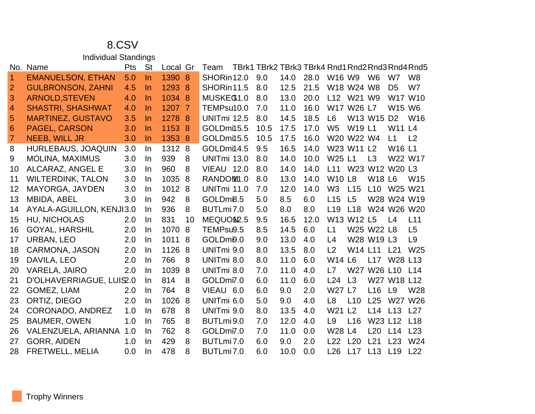| <b>Individual Standings</b> |  |  |
|-----------------------------|--|--|
|                             |  |  |

|                | No. Name                 | Pts | <b>St</b> | Local  | Gr | Team                  | TBrk1 TBrk2 TBrk3 TBrk4 Rnd1 Rnd2 Rnd3 Rnd4 Rnd5 |      |      |                |                |                |                 |                 |
|----------------|--------------------------|-----|-----------|--------|----|-----------------------|--------------------------------------------------|------|------|----------------|----------------|----------------|-----------------|-----------------|
| 1              | <b>EMANUELSON, ETHAN</b> | 5.0 | $\ln$     | 1390 8 |    | SHORin12.0            | 9.0                                              | 14.0 | 28.0 | W16 W9         |                | W <sub>6</sub> | W7              | W <sub>8</sub>  |
| $\overline{2}$ | <b>GULBRONSON, ZAHNI</b> | 4.5 | $\ln$     | 1293 8 |    | SHORin11.5            | 8.0                                              | 12.5 | 21.5 |                | W18 W24 W8     |                | D <sub>5</sub>  | W7              |
| 3              | <b>ARNOLD, STEVEN</b>    | 4.0 | $\ln$     | 1034 8 |    | MUSKEG1.0             | 8.0                                              | 13.0 | 20.0 | L12            | W21 W9         |                |                 | W17 W10         |
| 4              | <b>SHASTRI, SHASHWAT</b> | 4.0 | $\ln$     | 1207 7 |    | TEMPsu10.0            | 7.0                                              | 11.0 | 16.0 |                | W17 W26 L7     |                | W15 W6          |                 |
| 5              | <b>MARTINEZ, GUSTAVO</b> | 3.5 | $\ln$     | 1278   | -8 | UNITmi 12.5           | 8.0                                              | 14.5 | 18.5 | L6             |                | W13 W15 D2     |                 | W <sub>16</sub> |
| 6              | PAGEL, CARSON            | 3.0 | $\ln$     | 1153 8 |    | GOLDmi15.5            | 10.5                                             | 17.5 | 17.0 | W <sub>5</sub> | <b>W19 L1</b>  |                | W11 L4          |                 |
| 7              | <b>NEEB, WILL JR</b>     | 3.0 | $\ln$     | 1353 8 |    | GOLDmi15.5            | 10.5                                             | 17.5 | 16.0 |                | W20 W22 W4     |                | L1              | L <sub>2</sub>  |
| 8              | HURLEBAUS, JOAQUIN       | 3.0 | In        | 1312 8 |    | GOLDmi14.5            | 9.5                                              | 16.5 | 14.0 |                | W23 W11 L2     |                | W16 L1          |                 |
| 9              | <b>MOLINA, MAXIMUS</b>   | 3.0 | In.       | 939    | 8  | UNITmi 13.0           | 8.0                                              | 14.0 | 10.0 | W25 L1         |                | L3             |                 | W22 W17         |
| 10             | ALCARAZ, ANGEL E         | 3.0 | In.       | 960    | 8  | <b>VIEAU 12.0</b>     | 8.0                                              | 14.0 | 14.0 | L11            |                |                | W23 W12 W20 L3  |                 |
| 11             | <b>WILTERDINK, TALON</b> | 3.0 | In.       | 1035 8 |    | RANDOM <sub>1.0</sub> | 8.0                                              | 13.0 | 14.0 | <b>W10 L8</b>  |                | <b>W18 L6</b>  |                 | W <sub>15</sub> |
| 12             | MAYORGA, JAYDEN          | 3.0 | In        | 1012 8 |    | UNITmi 11.0           | 7.0                                              | 12.0 | 14.0 | W <sub>3</sub> | L15            | L10            | W25 W21         |                 |
| 13             | <b>MBIDA, ABEL</b>       | 3.0 | In.       | 942    | 8  | GOLDmB.5              | 5.0                                              | 8.5  | 6.0  | L15            | L5             |                | W28 W24 W19     |                 |
| 14             | AYALA-AGUILLON, KENJI3.0 |     | In        | 936    | 8  | BUTLmi7.0             | 5.0                                              | 8.0  | 8.0  | L19            | L18            |                | W24 W26 W20     |                 |
| 15             | <b>HU, NICHOLAS</b>      | 2.0 | In.       | 831    | 10 | MEQUON <sub>2.5</sub> | 9.5                                              | 16.5 | 12.0 |                | W13 W12 L5     |                | L4              | L11             |
| 16             | <b>GOYAL, HARSHIL</b>    | 2.0 | In        | 1070   | 8  | TEMPsu9.5             | 8.5                                              | 14.5 | 6.0  | L1             |                | W25 W22 L8     |                 | L5              |
| 17             | <b>URBAN, LEO</b>        | 2.0 | In.       | 1011 8 |    | GOLDm0.0              | 9.0                                              | 13.0 | 4.0  | L4             |                | W28 W19 L3     |                 | L <sub>9</sub>  |
| 18             | CARMONA, JASON           | 2.0 | In.       | 1126 8 |    | UNITmi 9.0            | 8.0                                              | 13.5 | 8.0  | L <sub>2</sub> | W14 L11        |                | L <sub>21</sub> | W <sub>25</sub> |
| 19             | DAVILA, LEO              | 2.0 | In.       | 766    | 8  | UNITmi 8.0            | 8.0                                              | 11.0 | 6.0  | <b>W14 L6</b>  |                | L17            | W28 L13         |                 |
| 20             | <b>VARELA, JAIRO</b>     | 2.0 | In.       | 1039   | 8  | UNITmi 8.0            | 7.0                                              | 11.0 | 4.0  | L7             |                | W27 W26 L10    |                 | L14             |
| 21             | D'OLHAVERRIAGUE, LUIS2.0 |     | In.       | 814    | 8  | GOLDmi7.0             | 6.0                                              | 11.0 | 6.0  | L24            | L3             |                | W27 W18 L12     |                 |
| 22             | GOMEZ, LIAM              | 2.0 | <u>In</u> | 764    | 8  | VIEAU 6.0             | 6.0                                              | 9.0  | 2.0  | W27 L7         |                | L16            | L9              | W <sub>28</sub> |
| 23             | ORTIZ, DIEGO             | 2.0 | In.       | 1026   | 8  | UNITmi <sub>6.0</sub> | 5.0                                              | 9.0  | 4.0  | L <sub>8</sub> | L10            | L25            | W27 W26         |                 |
| 24             | CORONADO, ANDREZ         | 1.0 | In.       | 678    | 8  | UNITmi 9.0            | 8.0                                              | 13.5 | 4.0  | W21            | L <sub>2</sub> | L14            | L13             | L27             |
| 25             | <b>BAUMER, OWEN</b>      | 1.0 | In.       | 765    | 8  | BUTLmi9.0             | 7.0                                              | 12.0 | 4.0  | L <sub>9</sub> | L16            | W23 L12        |                 | L18             |
| 26             | VALENZUELA, ARIANNA      | 1.0 | In.       | 762    | 8  | GOLDmi7.0             | 7.0                                              | 11.0 | 0.0  | <b>W28 L4</b>  |                | L20            | L14             | L23             |
| 27             | <b>GORR, AIDEN</b>       | 1.0 | In.       | 429    | 8  | BUTLmi7.0             | 6.0                                              | 9.0  | 2.0  | L22            | L20            | L21            | L23             | W24             |
| 28             | <b>FRETWELL, MELIA</b>   | 0.0 | In.       | 478    | 8  | BUTLmi <sub>7.0</sub> | 6.0                                              | 10.0 | 0.0  | L26            | L17            | L13            | L19             | L22             |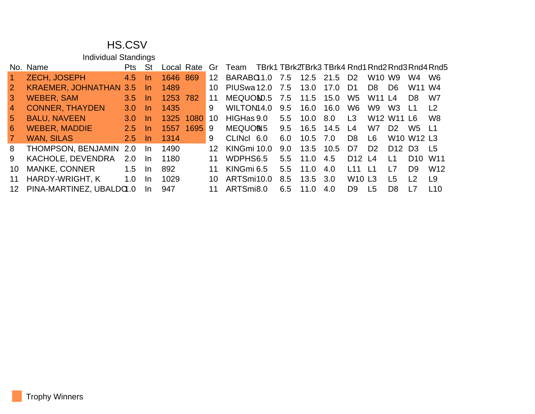## HS.CSV

| <b>Individual Standings</b> |
|-----------------------------|
|                             |

|                 | No. Name                      | Pts:             | St        | Local Rate |           | Gr  | Team                    |     | TBrk1 TBrk2TBrk3 TBrk4 Rnd1 Rnd2 Rnd3 Rnd4 Rnd5 |           |                                      |                                |                                |                                                |                 |
|-----------------|-------------------------------|------------------|-----------|------------|-----------|-----|-------------------------|-----|-------------------------------------------------|-----------|--------------------------------------|--------------------------------|--------------------------------|------------------------------------------------|-----------------|
|                 | ZECH, JOSEPH                  | 4.5              | <b>In</b> | 1646 869   |           | 12  | BARABO <sub>1.0</sub>   |     | 7.5 12.5 21.5 D2                                |           |                                      | W <sub>10</sub> W <sub>9</sub> |                                | W4                                             | W <sub>6</sub>  |
| 2               | <b>KRAEMER, JOHNATHAN 3.5</b> |                  | -In       | 1489       |           | 10  | PIUSwa 12.0             | 7.5 | 13.0                                            | 17.0      | D1                                   | D <sub>8</sub>                 | D <sub>6</sub>                 | W11 W4                                         |                 |
| 3               | WEBER, SAM                    | $3.5$ In         |           | 1253 782   |           | 11  | MEQUOND.5 7.5 11.5 15.0 |     |                                                 |           | W <sub>5</sub>                       | W11 L4                         |                                | D <sub>8</sub>                                 | W7              |
| $\vert 4 \vert$ | <b>CONNER, THAYDEN</b>        | 3.0 <sub>1</sub> | -In       | 1435       |           | 9   | WILTON14.0              | 9.5 | 16.0                                            | 16.0      | W6                                   | W9                             | W <sub>3</sub>                 | $\overline{11}$                                | L <sub>2</sub>  |
| 5.              | <b>BALU, NAVEEN</b>           | 3.0 <sub>2</sub> | <b>In</b> | 1325       | 1080      | 10  | HIGHas 9.0              | 5.5 | $10.0\quad 8.0$                                 |           | L <sub>3</sub>                       |                                | W12 W11 L6                     |                                                | W <sub>8</sub>  |
| 6               | <b>WEBER, MADDIE</b>          | 2.5              | <b>In</b> |            | 1557 1695 | -9  | MEQUON5                 | 9.5 |                                                 | 16.5 14.5 | L4                                   | W7                             | D <sub>2</sub>                 | W5.                                            | $\overline{11}$ |
|                 | WAN, SILAS                    | 2.5              | -In       | 1314       |           | 9   | CLINCI 6.0              | 6.0 | $10.5$ 7.0                                      |           | D <sub>8</sub>                       | L <sub>6</sub>                 |                                | W <sub>10</sub> W <sub>12</sub> L <sub>3</sub> |                 |
| 8               | THOMPSON, BENJAMIN            | 2.0              | -In       | 1490       |           | 12  | KINGmi 10.0             | 9.0 | 13.5 10.5                                       |           | D7                                   | D <sub>2</sub>                 | D <sub>12</sub> D <sub>3</sub> |                                                | -1.5            |
| 9               | KACHOLE, DEVENDRA             | 2.0              | <b>In</b> | 1180       |           | 11  | WDPHS6.5                | 5.5 | 11.0                                            | 4.5       | D <sub>12</sub> L <sub>4</sub>       |                                | $\overline{11}$                | D <sub>10</sub>                                | W11             |
| 10              | <b>MANKE, CONNER</b>          | 1.5              | <b>In</b> | 892        |           | 11  | KINGmi 6.5              | 5.5 | 11.0                                            | 4.0       | L11                                  | $\overline{11}$                | l 7                            | D <sub>9</sub>                                 | W <sub>12</sub> |
| 11              | HARDY-WRIGHT, K               | 1.0              | In.       | 1029       |           | 10. | ARTSmi10.0              | 8.5 | $13.5$ $3.0$                                    |           | <b>W<sub>10</sub></b> L <sub>3</sub> |                                | I 5                            | $\overline{2}$                                 | <u> 19</u>      |
| 12              | PINA-MARTINEZ, UBALDO.0       |                  | In.       | 947        |           |     | ARTSmi8.0               | 6.5 | 11.0                                            | 4.0       | D <sub>9</sub>                       | L5                             | D <sub>8</sub>                 | l 7                                            | 110             |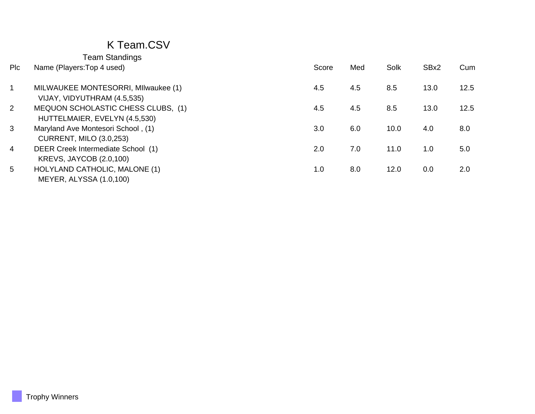## K Team.CSV

|                | Team Standings                                                       |       |     |      |      |      |
|----------------|----------------------------------------------------------------------|-------|-----|------|------|------|
| <b>PIc</b>     | Name (Players: Top 4 used)                                           | Score | Med | Solk | SBx2 | Cum  |
| 1              | MILWAUKEE MONTESORRI, MIIwaukee (1)<br>VIJAY, VIDYUTHRAM (4.5,535)   | 4.5   | 4.5 | 8.5  | 13.0 | 12.5 |
| $\overline{2}$ | MEQUON SCHOLASTIC CHESS CLUBS, (1)<br>HUTTELMAIER, EVELYN (4.5,530)  | 4.5   | 4.5 | 8.5  | 13.0 | 12.5 |
| $\mathbf{3}$   | Maryland Ave Montesori School, (1)<br><b>CURRENT, MILO (3.0,253)</b> | 3.0   | 6.0 | 10.0 | 4.0  | 8.0  |
| 4              | DEER Creek Intermediate School (1)<br><b>KREVS, JAYCOB (2.0,100)</b> | 2.0   | 7.0 | 11.0 | 1.0  | 5.0  |
| 5              | HOLYLAND CATHOLIC, MALONE (1)<br>MEYER, ALYSSA (1.0,100)             | 1.0   | 8.0 | 12.0 | 0.0  | 2.0  |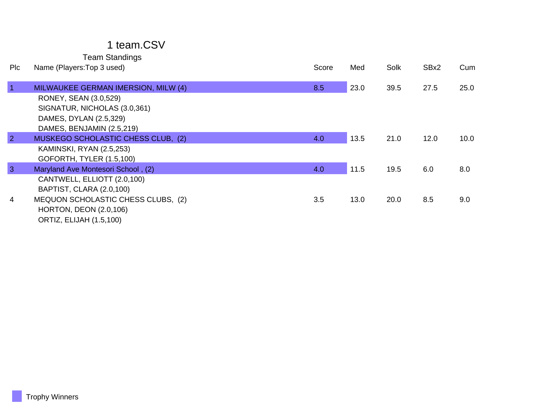#### 1 team.CSV

| <b>PIc</b>     | Name (Players: Top 3 used)          | Score | Med  | Solk | SBx2 | Cum  |
|----------------|-------------------------------------|-------|------|------|------|------|
|                |                                     |       |      |      |      |      |
| $\overline{1}$ | MILWAUKEE GERMAN IMERSION, MILW (4) | 8.5   | 23.0 | 39.5 | 27.5 | 25.0 |
|                | RONEY, SEAN (3.0,529)               |       |      |      |      |      |
|                | SIGNATUR, NICHOLAS (3.0,361)        |       |      |      |      |      |
|                | DAMES, DYLAN (2.5,329)              |       |      |      |      |      |
|                | DAMES, BENJAMIN (2.5,219)           |       |      |      |      |      |
| $\overline{2}$ | MUSKEGO SCHOLASTIC CHESS CLUB, (2)  | 4.0   | 13.5 | 21.0 | 12.0 | 10.0 |
|                | <b>KAMINSKI, RYAN (2.5,253)</b>     |       |      |      |      |      |
|                | GOFORTH, TYLER (1.5,100)            |       |      |      |      |      |
| $\overline{3}$ | Maryland Ave Montesori School, (2)  | 4.0   | 11.5 | 19.5 | 6.0  | 8.0  |
|                | CANTWELL, ELLIOTT (2.0,100)         |       |      |      |      |      |
|                | BAPTIST, CLARA (2.0,100)            |       |      |      |      |      |
| 4              | MEQUON SCHOLASTIC CHESS CLUBS, (2)  | 3.5   | 13.0 | 20.0 | 8.5  | 9.0  |
|                | <b>HORTON, DEON (2.0,106)</b>       |       |      |      |      |      |
|                | <b>ORTIZ, ELIJAH (1.5,100)</b>      |       |      |      |      |      |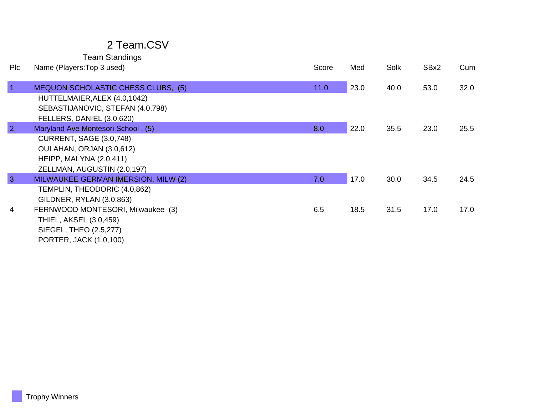#### 2 Team.CSV

| <b>Team Standings</b> |  |  |
|-----------------------|--|--|
|-----------------------|--|--|

| <b>PIc</b>     | Name (Players: Top 3 used)                                                                                           | Score | Med  | Solk | SBx2 | Cum  |
|----------------|----------------------------------------------------------------------------------------------------------------------|-------|------|------|------|------|
| $\vert$ 1      | MEQUON SCHOLASTIC CHESS CLUBS, (5)                                                                                   | 11.0  | 23.0 | 40.0 | 53.0 | 32.0 |
|                | HUTTELMAIER, ALEX (4.0, 1042)<br>SEBASTIJANOVIC, STEFAN (4.0,798)<br>FELLERS, DANIEL (3.0,620)                       |       |      |      |      |      |
| $\overline{2}$ | Maryland Ave Montesori School, (5)                                                                                   | 8.0   | 22.0 | 35.5 | 23.0 | 25.5 |
|                | <b>CURRENT, SAGE (3.0,748)</b><br>OULAHAN, ORJAN (3.0,612)<br>HEIPP, MALYNA (2.0,411)<br>ZELLMAN, AUGUSTIN (2.0,197) |       |      |      |      |      |
| 3              | MILWAUKEE GERMAN IMERSION, MILW (2)                                                                                  | 7.0   | 17.0 | 30.0 | 34.5 | 24.5 |
| 4              | TEMPLIN, THEODORIC (4.0,862)<br>GILDNER, RYLAN (3.0,863)<br>FERNWOOD MONTESORI, Milwaukee (3)                        | 6.5   | 18.5 | 31.5 | 17.0 | 17.0 |
|                | THIEL, AKSEL (3.0,459)<br>SIEGEL, THEO (2.5,277)<br>PORTER, JACK (1.0,100)                                           |       |      |      |      |      |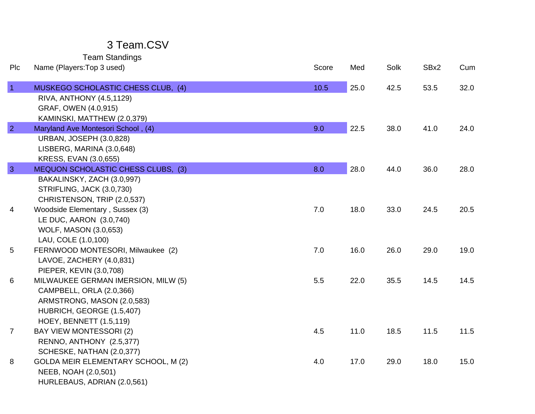#### 3 Team.CSV

| Plc            | Name (Players: Top 3 used)                                                                                                                                   | Score | Med  | Solk | SBx2 | Cum  |
|----------------|--------------------------------------------------------------------------------------------------------------------------------------------------------------|-------|------|------|------|------|
| $\overline{1}$ | MUSKEGO SCHOLASTIC CHESS CLUB, (4)<br>RIVA, ANTHONY (4.5,1129)<br>GRAF, OWEN (4.0,915)<br>KAMINSKI, MATTHEW (2.0,379)                                        | 10.5  | 25.0 | 42.5 | 53.5 | 32.0 |
| $\overline{2}$ | Maryland Ave Montesori School, (4)<br><b>URBAN, JOSEPH (3.0,828)</b><br>LISBERG, MARINA (3.0,648)<br>KRESS, EVAN (3.0,655)                                   | 9.0   | 22.5 | 38.0 | 41.0 | 24.0 |
| $\overline{3}$ | MEQUON SCHOLASTIC CHESS CLUBS, (3)<br>BAKALINSKY, ZACH (3.0,997)<br>STRIFLING, JACK (3.0,730)<br>CHRISTENSON, TRIP (2.0,537)                                 | 8.0   | 28.0 | 44.0 | 36.0 | 28.0 |
| 4              | Woodside Elementary, Sussex (3)<br>LE DUC, AARON (3.0,740)<br><b>WOLF, MASON (3.0,653)</b><br>LAU, COLE (1.0,100)                                            | 7.0   | 18.0 | 33.0 | 24.5 | 20.5 |
| 5              | FERNWOOD MONTESORI, Milwaukee (2)<br>LAVOE, ZACHERY (4.0,831)<br>PIEPER, KEVIN (3.0,708)                                                                     | 7.0   | 16.0 | 26.0 | 29.0 | 19.0 |
| 6              | MILWAUKEE GERMAN IMERSION, MILW (5)<br>CAMPBELL, ORLA (2.0,366)<br>ARMSTRONG, MASON (2.0,583)<br>HUBRICH, GEORGE (1.5,407)<br><b>HOEY, BENNETT (1.5,119)</b> | 5.5   | 22.0 | 35.5 | 14.5 | 14.5 |
| $\overline{7}$ | <b>BAY VIEW MONTESSORI (2)</b><br>RENNO, ANTHONY (2.5,377)<br>SCHESKE, NATHAN (2.0,377)                                                                      | 4.5   | 11.0 | 18.5 | 11.5 | 11.5 |
| 8              | GOLDA MEIR ELEMENTARY SCHOOL, M (2)<br>NEEB, NOAH (2.0,501)<br>HURLEBAUS, ADRIAN (2.0,561)                                                                   | 4.0   | 17.0 | 29.0 | 18.0 | 15.0 |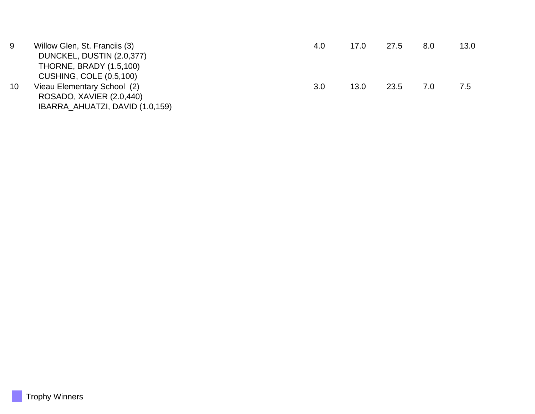| 9               | Willow Glen, St. Franciis (3)   | 4.0 | 17.0 | 27.5 | 8.0 <sub>2</sub> | 13.0 |
|-----------------|---------------------------------|-----|------|------|------------------|------|
|                 | DUNCKEL, DUSTIN (2.0,377)       |     |      |      |                  |      |
|                 | <b>THORNE, BRADY (1.5,100)</b>  |     |      |      |                  |      |
|                 | <b>CUSHING, COLE (0.5,100)</b>  |     |      |      |                  |      |
| 10 <sup>°</sup> | Vieau Elementary School (2)     | 3.0 | 13.0 | 23.5 | 7.0              | 7.5  |
|                 | ROSADO, XAVIER (2.0,440)        |     |      |      |                  |      |
|                 | IBARRA_AHUATZI, DAVID (1.0,159) |     |      |      |                  |      |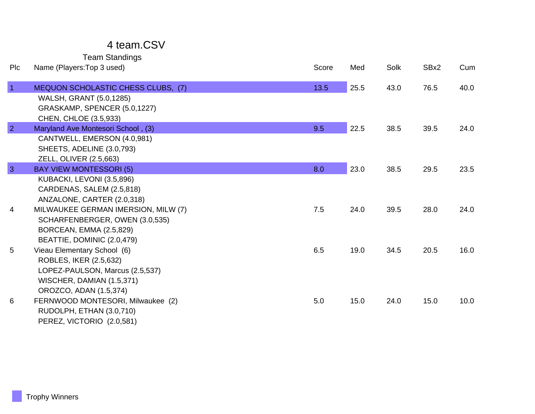#### 4 team.CSV

| Plc            | Name (Players: Top 3 used)                                           | Score | Med  | Solk | SBx2 | Cum  |
|----------------|----------------------------------------------------------------------|-------|------|------|------|------|
| $\overline{1}$ | MEQUON SCHOLASTIC CHESS CLUBS, (7)<br><b>WALSH, GRANT (5.0,1285)</b> | 13.5  | 25.5 | 43.0 | 76.5 | 40.0 |
|                | GRASKAMP, SPENCER (5.0,1227)<br>CHEN, CHLOE (3.5,933)                |       |      |      |      |      |
| $\overline{2}$ | Maryland Ave Montesori School, (3)                                   | 9.5   | 22.5 | 38.5 | 39.5 | 24.0 |
|                | CANTWELL, EMERSON (4.0,981)<br>SHEETS, ADELINE (3.0,793)             |       |      |      |      |      |
| $\overline{3}$ | ZELL, OLIVER (2.5,663)<br><b>BAY VIEW MONTESSORI (5)</b>             | 8.0   | 23.0 | 38.5 | 29.5 | 23.5 |
|                | KUBACKI, LEVONI (3.5,896)                                            |       |      |      |      |      |
|                | CARDENAS, SALEM (2.5,818)                                            |       |      |      |      |      |
|                | ANZALONE, CARTER (2.0,318)                                           |       |      |      |      |      |
| 4              | MILWAUKEE GERMAN IMERSION, MILW (7)                                  | 7.5   | 24.0 | 39.5 | 28.0 | 24.0 |
|                | SCHARFENBERGER, OWEN (3.0,535)                                       |       |      |      |      |      |
|                | BORCEAN, EMMA (2.5,829)<br>BEATTIE, DOMINIC (2.0,479)                |       |      |      |      |      |
| 5              | Vieau Elementary School (6)                                          | 6.5   | 19.0 | 34.5 | 20.5 | 16.0 |
|                | ROBLES, IKER (2.5,632)                                               |       |      |      |      |      |
|                | LOPEZ-PAULSON, Marcus (2.5,537)                                      |       |      |      |      |      |
|                | WISCHER, DAMIAN (1.5,371)                                            |       |      |      |      |      |
|                | OROZCO, ADAN (1.5,374)                                               |       |      |      |      |      |
| 6              | FERNWOOD MONTESORI, Milwaukee (2)                                    | 5.0   | 15.0 | 24.0 | 15.0 | 10.0 |
|                | RUDOLPH, ETHAN (3.0,710)                                             |       |      |      |      |      |
|                | PEREZ, VICTORIO (2.0,581)                                            |       |      |      |      |      |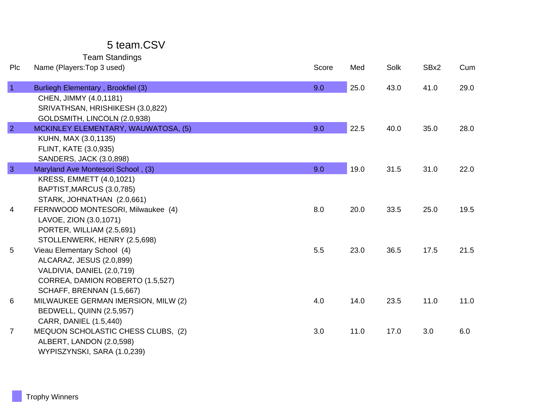#### 5 team.CSV

| Plc            | Name (Players: Top 3 used)                | Score | Med  | Solk | SBx2 | Cum  |
|----------------|-------------------------------------------|-------|------|------|------|------|
| $\vert$ 1      | Burliegh Elementary, Brookfiel (3)        | 9.0   | 25.0 | 43.0 | 41.0 | 29.0 |
|                | CHEN, JIMMY (4.0,1181)                    |       |      |      |      |      |
|                | SRIVATHSAN, HRISHIKESH (3.0,822)          |       |      |      |      |      |
|                | GOLDSMITH, LINCOLN (2.0,938)              |       |      |      |      |      |
| $\overline{2}$ | MCKINLEY ELEMENTARY, WAUWATOSA, (5)       | 9.0   | 22.5 | 40.0 | 35.0 | 28.0 |
|                | KUHN, MAX (3.0,1135)                      |       |      |      |      |      |
|                | FLINT, KATE (3.0,935)                     |       |      |      |      |      |
|                | SANDERS, JACK (3.0,898)                   |       |      |      |      |      |
| $\overline{3}$ | Maryland Ave Montesori School, (3)        | 9.0   | 19.0 | 31.5 | 31.0 | 22.0 |
|                | <b>KRESS, EMMETT (4.0,1021)</b>           |       |      |      |      |      |
|                | BAPTIST, MARCUS (3.0, 785)                |       |      |      |      |      |
|                | STARK, JOHNATHAN (2.0,661)                |       |      |      |      |      |
| 4              | FERNWOOD MONTESORI, Milwaukee (4)         | 8.0   | 20.0 | 33.5 | 25.0 | 19.5 |
|                | LAVOE, ZION (3.0,1071)                    |       |      |      |      |      |
|                | PORTER, WILLIAM (2.5,691)                 |       |      |      |      |      |
|                | STOLLENWERK, HENRY (2.5,698)              |       |      |      |      |      |
| 5              | Vieau Elementary School (4)               | 5.5   | 23.0 | 36.5 | 17.5 | 21.5 |
|                | ALCARAZ, JESUS (2.0,899)                  |       |      |      |      |      |
|                | VALDIVIA, DANIEL (2.0,719)                |       |      |      |      |      |
|                | CORREA, DAMION ROBERTO (1.5,527)          |       |      |      |      |      |
|                | SCHAFF, BRENNAN (1.5,667)                 |       |      |      |      |      |
| 6              | MILWAUKEE GERMAN IMERSION, MILW (2)       | 4.0   | 14.0 | 23.5 | 11.0 | 11.0 |
|                | BEDWELL, QUINN (2.5,957)                  |       |      |      |      |      |
|                | CARR, DANIEL (1.5,440)                    |       |      |      |      |      |
| $\overline{7}$ | <b>MEQUON SCHOLASTIC CHESS CLUBS, (2)</b> | 3.0   | 11.0 | 17.0 | 3.0  | 6.0  |
|                | ALBERT, LANDON (2.0,598)                  |       |      |      |      |      |
|                | WYPISZYNSKI, SARA (1.0,239)               |       |      |      |      |      |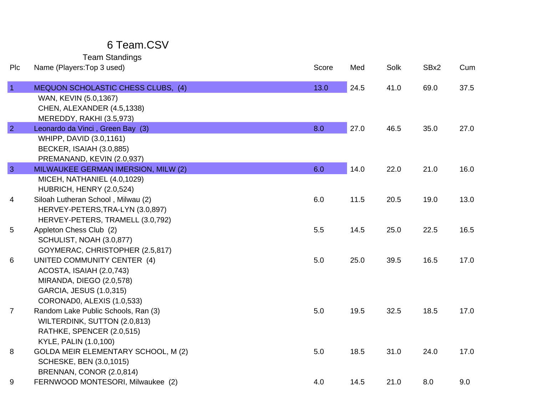### 6 Team.CSV

| Plc            | Name (Players: Top 3 used)                | Score | Med  | Solk | SBx2 | Cum  |
|----------------|-------------------------------------------|-------|------|------|------|------|
| $\overline{1}$ | <b>MEQUON SCHOLASTIC CHESS CLUBS, (4)</b> | 13.0  | 24.5 | 41.0 | 69.0 | 37.5 |
|                | WAN, KEVIN (5.0,1367)                     |       |      |      |      |      |
|                | CHEN, ALEXANDER (4.5,1338)                |       |      |      |      |      |
|                | MEREDDY, RAKHI (3.5,973)                  |       |      |      |      |      |
| $\overline{2}$ | Leonardo da Vinci, Green Bay (3)          | 8.0   | 27.0 | 46.5 | 35.0 | 27.0 |
|                | WHIPP, DAVID (3.0,1161)                   |       |      |      |      |      |
|                | BECKER, ISAIAH (3.0,885)                  |       |      |      |      |      |
|                | PREMANAND, KEVIN (2.0,937)                |       |      |      |      |      |
| $\overline{3}$ | MILWAUKEE GERMAN IMERSION, MILW (2)       | 6.0   | 14.0 | 22.0 | 21.0 | 16.0 |
|                | MICEH, NATHANIEL (4.0,1029)               |       |      |      |      |      |
|                | HUBRICH, HENRY (2.0,524)                  |       |      |      |      |      |
| 4              | Siloah Lutheran School, Milwau (2)        | 6.0   | 11.5 | 20.5 | 19.0 | 13.0 |
|                | HERVEY-PETERS, TRA-LYN (3.0,897)          |       |      |      |      |      |
|                | HERVEY-PETERS, TRAMELL (3.0,792)          |       |      |      |      |      |
| 5              | Appleton Chess Club (2)                   | 5.5   | 14.5 | 25.0 | 22.5 | 16.5 |
|                | SCHULIST, NOAH (3.0,877)                  |       |      |      |      |      |
|                | GOYMERAC, CHRISTOPHER (2.5,817)           |       |      |      |      |      |
| 6              | UNITED COMMUNITY CENTER (4)               | 5.0   | 25.0 | 39.5 | 16.5 | 17.0 |
|                | ACOSTA, ISAIAH (2.0,743)                  |       |      |      |      |      |
|                | MIRANDA, DIEGO (2.0,578)                  |       |      |      |      |      |
|                | GARCIA, JESUS (1.0,315)                   |       |      |      |      |      |
|                | CORONAD0, ALEXIS (1.0,533)                |       |      |      |      |      |
| $\overline{7}$ | Random Lake Public Schools, Ran (3)       | 5.0   | 19.5 | 32.5 | 18.5 | 17.0 |
|                | WILTERDINK, SUTTON (2.0,813)              |       |      |      |      |      |
|                | RATHKE, SPENCER (2.0,515)                 |       |      |      |      |      |
|                | <b>KYLE, PALIN (1.0,100)</b>              |       |      |      |      |      |
| 8              | GOLDA MEIR ELEMENTARY SCHOOL, M (2)       | 5.0   | 18.5 | 31.0 | 24.0 | 17.0 |
|                | <b>SCHESKE, BEN (3.0,1015)</b>            |       |      |      |      |      |
|                | BRENNAN, CONOR (2.0,814)                  |       |      |      |      |      |
| 9              | FERNWOOD MONTESORI, Milwaukee (2)         | 4.0   | 14.5 | 21.0 | 8.0  | 9.0  |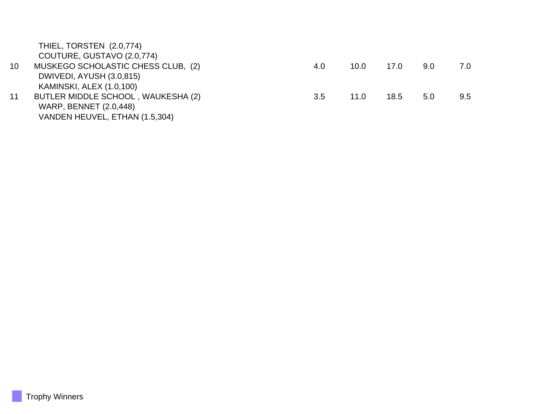THIEL, TORSTEN (2.0,774) COUTURE, GUSTAVO (2.0,774) 10 MUSKEGO SCHOLASTIC CHESS CLUB, (2) 4.0 10.0 17.0 9.0 7.0 DWIVEDI, AYUSH (3.0,815) KAMINSKI, ALEX (1.0,100) 11 BUTLER MIDDLE SCHOOL , WAUKESHA (2)  $\hspace{1.6cm}3.5\hspace{1.5cm}11.0\hspace{1.5cm}18.5\hspace{1.5cm}5.0\hspace{1.5cm}9.5$  WARP, BENNET (2.0,448) VANDEN HEUVEL, ETHAN (1.5,304)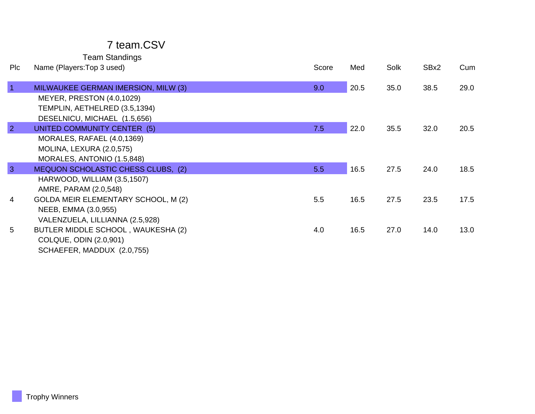#### 7 team.CSV

| <b>PIc</b>     | Name (Players: Top 3 used)          | Score | Med  | Solk | SBx2 | Cum  |
|----------------|-------------------------------------|-------|------|------|------|------|
| $\overline{1}$ | MILWAUKEE GERMAN IMERSION, MILW (3) | 9.0   | 20.5 | 35.0 | 38.5 | 29.0 |
|                | <b>MEYER, PRESTON (4.0,1029)</b>    |       |      |      |      |      |
|                | TEMPLIN, AETHELRED (3.5,1394)       |       |      |      |      |      |
|                | DESELNICU, MICHAEL (1.5,656)        |       |      |      |      |      |
| $\overline{2}$ | UNITED COMMUNITY CENTER (5)         | 7.5   | 22.0 | 35.5 | 32.0 | 20.5 |
|                | MORALES, RAFAEL (4.0,1369)          |       |      |      |      |      |
|                | MOLINA, LEXURA (2.0,575)            |       |      |      |      |      |
|                | MORALES, ANTONIO (1.5,848)          |       |      |      |      |      |
| $\overline{3}$ | MEQUON SCHOLASTIC CHESS CLUBS, (2)  | 5.5   | 16.5 | 27.5 | 24.0 | 18.5 |
|                | HARWOOD, WILLIAM (3.5,1507)         |       |      |      |      |      |
|                | AMRE, PARAM (2.0,548)               |       |      |      |      |      |
| 4              | GOLDA MEIR ELEMENTARY SCHOOL, M (2) | 5.5   | 16.5 | 27.5 | 23.5 | 17.5 |
|                | NEEB, EMMA (3.0,955)                |       |      |      |      |      |
|                | VALENZUELA, LILLIANNA (2.5,928)     |       |      |      |      |      |
| 5              | BUTLER MIDDLE SCHOOL, WAUKESHA (2)  | 4.0   | 16.5 | 27.0 | 14.0 | 13.0 |
|                | COLQUE, ODIN (2.0,901)              |       |      |      |      |      |
|                | SCHAEFER, MADDUX (2.0,755)          |       |      |      |      |      |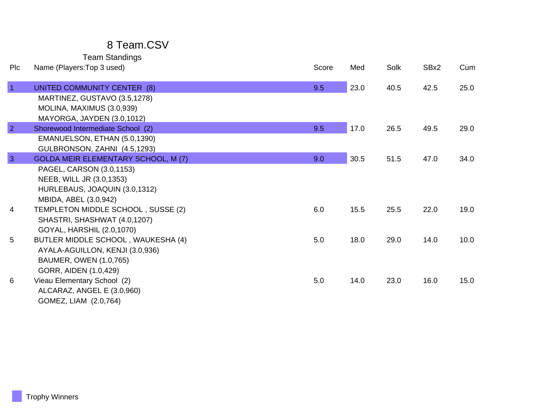#### 8 Team.CSV

| Plc            | Name (Players: Top 3 used)                 | Score | Med  | Solk | SBx2 | Cum  |
|----------------|--------------------------------------------|-------|------|------|------|------|
| $\overline{1}$ | UNITED COMMUNITY CENTER (8)                | 9.5   | 23.0 | 40.5 | 42.5 | 25.0 |
|                | MARTINEZ, GUSTAVO (3.5,1278)               |       |      |      |      |      |
|                | MOLINA, MAXIMUS (3.0,939)                  |       |      |      |      |      |
|                | MAYORGA, JAYDEN (3.0,1012)                 |       |      |      |      |      |
| $\overline{2}$ | Shorewood Intermediate School (2)          | 9.5   | 17.0 | 26.5 | 49.5 | 29.0 |
|                | EMANUELSON, ETHAN (5.0,1390)               |       |      |      |      |      |
|                | GULBRONSON, ZAHNI (4.5,1293)               |       |      |      |      |      |
| $\overline{3}$ | <b>GOLDA MEIR ELEMENTARY SCHOOL, M (7)</b> | 9.0   | 30.5 | 51.5 | 47.0 | 34.0 |
|                | PAGEL, CARSON (3.0,1153)                   |       |      |      |      |      |
|                | NEEB, WILL JR (3.0,1353)                   |       |      |      |      |      |
|                | HURLEBAUS, JOAQUIN (3.0,1312)              |       |      |      |      |      |
|                | MBIDA, ABEL (3.0,942)                      |       |      |      |      |      |
| 4              | TEMPLETON MIDDLE SCHOOL, SUSSE (2)         | 6.0   | 15.5 | 25.5 | 22.0 | 19.0 |
|                | SHASTRI, SHASHWAT (4.0,1207)               |       |      |      |      |      |
|                | GOYAL, HARSHIL (2.0,1070)                  |       |      |      |      |      |
| 5              | BUTLER MIDDLE SCHOOL, WAUKESHA (4)         | 5.0   | 18.0 | 29.0 | 14.0 | 10.0 |
|                | AYALA-AGUILLON, KENJI (3.0,936)            |       |      |      |      |      |
|                | BAUMER, OWEN (1.0,765)                     |       |      |      |      |      |
|                | GORR, AIDEN (1.0,429)                      |       |      |      |      |      |
| 6              | Vieau Elementary School (2)                | 5.0   | 14.0 | 23.0 | 16.0 | 15.0 |
|                | ALCARAZ, ANGEL E (3.0,960)                 |       |      |      |      |      |
|                | GOMEZ, LIAM (2.0,764)                      |       |      |      |      |      |